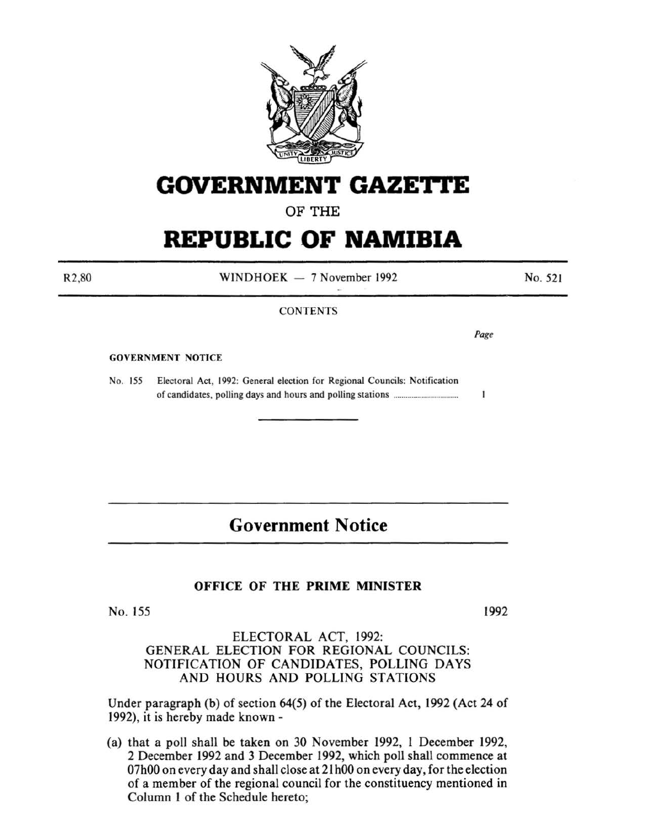

# **GOVERNMENT GAZE'I"I'E**

OF THE

# **REPUBLIC OF NAMIBIA**

R2,80

 $WINDHOEK - 7 November 1992$ 

No. 521

#### **CONTENTS**

*Page* 

 $\mathbf{I}$ 

#### GOVERNMENT NOTICE

No. 155 Electoral Act, 1992: General election for Regional Councils: Notification of candidates, polling days and hours and polling stations ............................... .

## **Government Notice**

### OFFICE OF THE PRIME MINISTER

No. 155

1992

#### ELECTORAL ACT, 1992: GENERAL ELECTION FOR REGIONAL COUNCILS: NOTIFICATION OF CANDIDATES, POLLING DAYS AND HOURS AND POLLING STATIONS

Under paragraph (b) of section 64(5) of the Electoral Act, 1992 (Act 24 of 1992), it is hereby made known -

(a) that a poll shall be taken on 30 November 1992, I December 1992, 2 December 1992 and 3 December 1992, which poll shall commence at 07h00 on every day and shall close at 21 hOO on every day, for the election of a member of the regional council for the constituency mentioned in Column I of the Schedule hereto;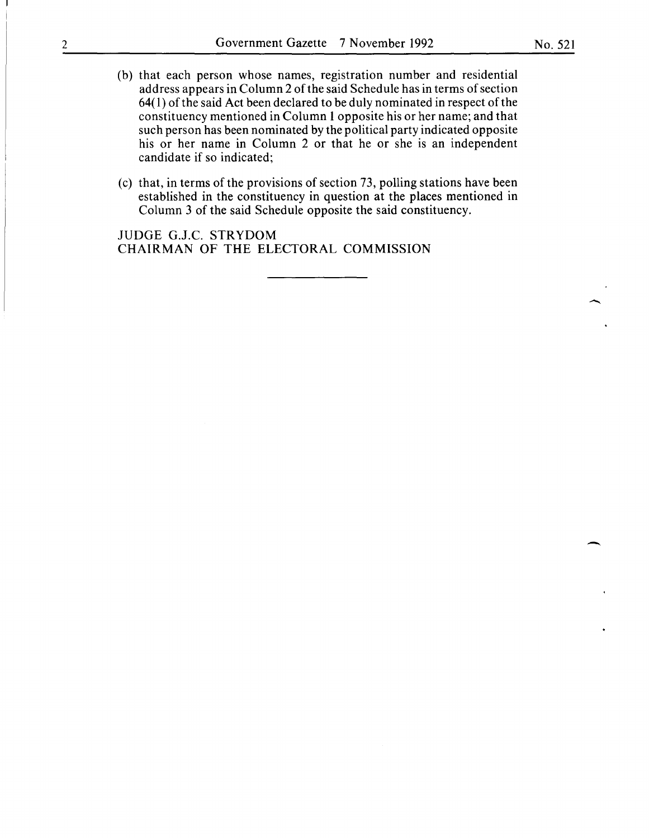- (b) that each person whose names, registration number and residential address appears in Column 2 of the said Schedule has in terms of section 64( I) of the said Act been declared to be duly nominated in respect of the constituency mentioned in Column I opposite his or her name; and that such person has been nominated by the political party indicated opposite his or her name in Column 2 or that he or she is an independent candidate if so indicated;
- (c) that, in terms of the provisions of section 73, polling stations have been established in the constituency in question at the places mentioned in Column 3 of the said Schedule opposite the said constituency.

JUDGE G.J.C. STRYDOM CHAIRMAN OF THE ELECTORAL COMMISSION

 $\overline{\phantom{a}}$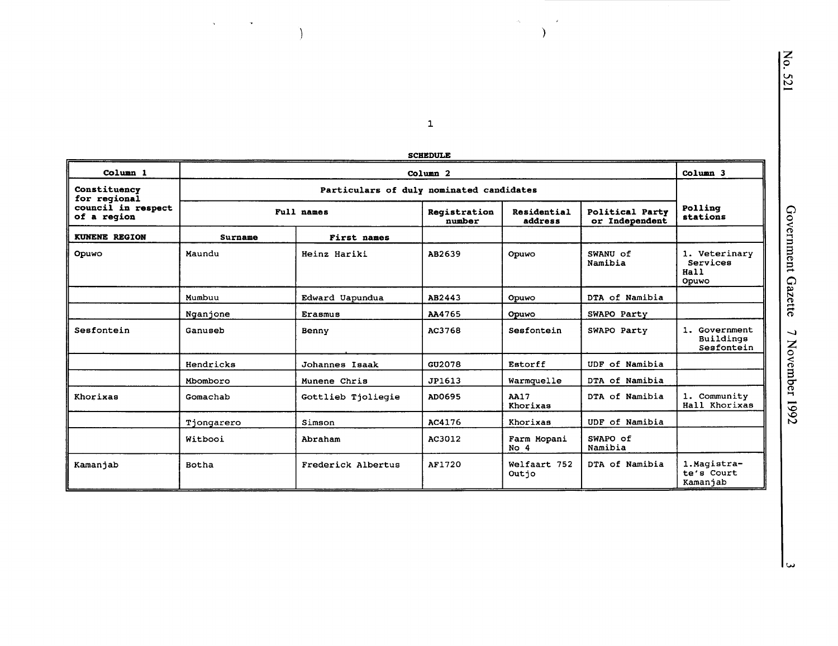|                                   |              |                                          | <b>SCHEDULE</b>        |                                |                                   |                                            |  |  |
|-----------------------------------|--------------|------------------------------------------|------------------------|--------------------------------|-----------------------------------|--------------------------------------------|--|--|
| Column <sub>1</sub>               |              | Column <sub>2</sub>                      |                        |                                |                                   |                                            |  |  |
| Constituency<br>for regional      |              | Particulars of duly nominated candidates |                        |                                |                                   |                                            |  |  |
| council in respect<br>of a region |              | Full names                               | Registration<br>number | Residential<br>address         | Political Party<br>or Independent | Polling<br>stations                        |  |  |
| KUNENE REGION                     | Surname      | First names                              |                        |                                |                                   |                                            |  |  |
| Opuwo                             | Maundu       | Heinz Hariki                             | AB2639                 | Opuwo                          | SWANU of<br>Namibia               | 1. Veterinary<br>Services<br>Hall<br>Opuwo |  |  |
|                                   | Mumbuu       | Edward Uapundua                          | AB2443                 | Opuwo                          | DTA of Namibia                    |                                            |  |  |
|                                   | Nganjone     | <b>Erasmus</b>                           | AA4765                 | Opuwo                          | SWAPO Party                       |                                            |  |  |
| Sesfontein                        | Ganuseb      | Benny                                    | AC3768                 | Sesfontein                     | SWAPO Party                       | 1. Government<br>Buildings<br>Sesfontein   |  |  |
|                                   | Hendricks    | Johannes Isaak                           | GU2078                 | Estorff                        | UDF of Namibia                    |                                            |  |  |
|                                   | Mbomboro     | Munene Chris                             | JP1613                 | Warmquelle                     | DTA of Namibia                    |                                            |  |  |
| Khorixas                          | Gomachab     | Gottlieb Tjoliegie                       | AD0695                 | <b>AA17</b><br>Khorixas        | DTA of Namibia                    | 1. Community<br>Hall Khorixas              |  |  |
|                                   | Tjongarero   | Simson                                   | AC4176                 | Khorixas                       | UDF of Namibia                    |                                            |  |  |
|                                   | Witbooi      | Abraham                                  | AC3012                 | Farm Mopani<br>No <sub>4</sub> | SWAPO of<br>Namibia               |                                            |  |  |
| Kamanjab                          | <b>Botha</b> | Frederick Albertus                       | AF1720                 | Welfaart 752<br>Outjo          | DTA of Namibia                    | 1.Magistra-<br>te's Court<br>Kamanjab      |  |  |

 $\label{eq:2.1} \mathbf{a}_{\text{max}} = \mathbf{a}_{\text{max}} + \mathbf{a}_{\text{max}}$ 

 $\overline{\mathcal{Y}}$ 

 $\sum_{i=1}^{N}$ 

 $\langle \hat{S}_{\rm{max}} \rangle$ 

No. 521

سا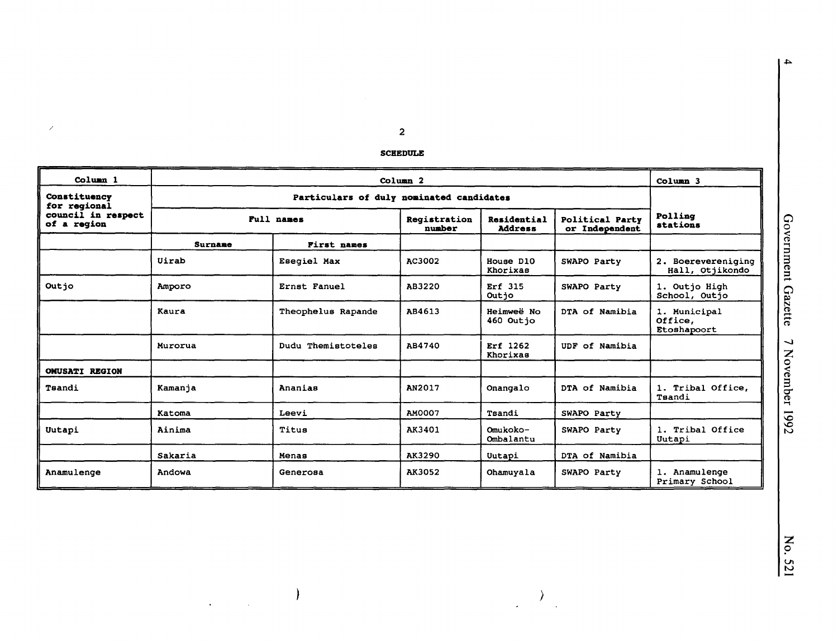$\overline{\mathbf{2}}$ 

 $\mathcal{S}$ 

#### **SCHEDULE**

| Column <sub>1</sub>               |         | Column <sub>2</sub><br>Column 3                                       |               |                                   |                     |                                        |
|-----------------------------------|---------|-----------------------------------------------------------------------|---------------|-----------------------------------|---------------------|----------------------------------------|
| Constituency<br>for regional      |         | Particulars of duly nominated candidates                              |               |                                   |                     |                                        |
| council in respect<br>of a region |         | Full names<br>Registration<br>Residential<br>number<br><b>Address</b> |               | Political Party<br>or Independent | Polling<br>stations |                                        |
|                                   | Surname | First names                                                           |               |                                   |                     |                                        |
|                                   | Uirab   | Esegiel Max                                                           | AC3002        | House D10<br>Khorixas             | SWAPO Party         | 2. Boerevereniging<br>Hall, Otjikondo  |
| Outio                             | Amporo  | Ernst Fanuel                                                          | AB3220        | Erf 315<br>Outjo                  | SWAPO Party         | 1. Outjo High<br>School, Outjo         |
|                                   | Kaura   | Theophelus Rapande                                                    | AB4613        | Heimweë No<br>460 Outjo           | DTA of Namibia      | 1. Municipal<br>Office,<br>Etoshapoort |
|                                   | Murorua | Dudu Themistoteles                                                    | AB4740        | Erf 1262<br>Khorixas              | UDF of Namibia      |                                        |
| <b>OMUSATI REGION</b>             |         |                                                                       |               |                                   |                     |                                        |
| Tsandi                            | Kamanja | Ananias                                                               | AN2017        | Onangalo                          | DTA of Namibia      | 1. Tribal Office,<br>Tsandi            |
|                                   | Katoma  | Leevi                                                                 | <b>AM0007</b> | Tsandi                            | SWAPO Party         |                                        |
| Uutapi                            | Ainima  | Titus                                                                 | AK3401        | Omukoko-<br>Ombalantu             | SWAPO Party         | 1. Tribal Office<br>Uutapi             |
|                                   | Sakaria | Menas                                                                 | AK3290        | Uutapi                            | DTA of Namibia      |                                        |
| Anamulenge                        | Andowa  | Generosa                                                              | AK3052        | Ohamuyala                         | SWAPO Party         | 1. Anamulenge<br>Primary School        |

 $\bigl)$ 

 $\mathbb{R}^2$ 

 $\mathbb{R}^2$ 

 $\, \big)$ 

 $\label{eq:2} \frac{1}{\sqrt{2}}\int_{0}^{\infty}\frac{1}{\sqrt{2\pi}}\left(\frac{1}{\sqrt{2}}\right)^{2}d\mu_{\rm{eff}}$ 

 $\mathbf{v}$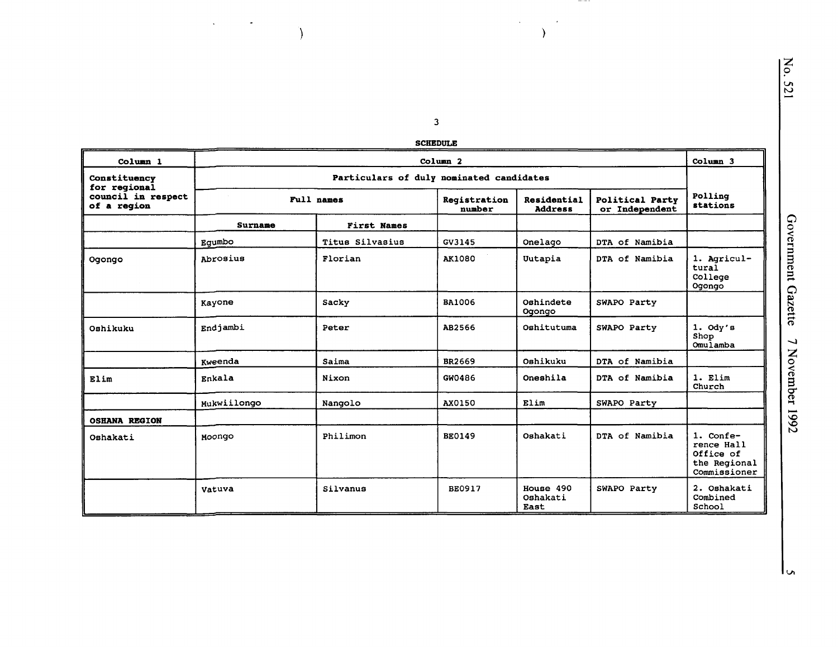$\overline{\mathbf{3}}$ **SCHEDULE** 

 $\mathcal{A}^{\mathcal{A}}_{\mathcal{A}}$  and  $\mathcal{A}^{\mathcal{A}}_{\mathcal{A}}$  and

 $\Delta$ 

 $- - -$ 

 $\mathcal{A}(\mathcal{A})$  and  $\mathcal{A}(\mathcal{A})$ 

 $\Delta$ 

| Column 1                                          | Column <sub>2</sub>                      |                    |                        |                               |                                          | Column <sub>3</sub>                                                  |  |  |
|---------------------------------------------------|------------------------------------------|--------------------|------------------------|-------------------------------|------------------------------------------|----------------------------------------------------------------------|--|--|
| Constituency                                      | Particulars of duly nominated candidates |                    |                        |                               |                                          |                                                                      |  |  |
| for regional<br>council in respect<br>of a reqion |                                          | Full names         | Registration<br>number | Residential<br><b>Address</b> | <b>Political Party</b><br>or Independent | Polling<br>stations                                                  |  |  |
|                                                   | Surname                                  | <b>First Names</b> |                        |                               |                                          |                                                                      |  |  |
|                                                   | Equmbo                                   | Titus Silvasius    | GV3145                 | Onelago                       | DTA of Namibia                           |                                                                      |  |  |
| Ogongo                                            | Abrosius                                 | Florian            | <b>AK1080</b>          | Uutapia                       | DTA of Namibia                           | 1. Agricul-<br>tural<br>College<br>Ogongo                            |  |  |
|                                                   | Kayone                                   | Sacky              | <b>BA1006</b>          | Oshindete<br>Ogongo           | SWAPO Party                              |                                                                      |  |  |
| Oshikuku                                          | Endjambi                                 | Peter              | AB2566                 | Oshitutuma                    | SWAPO Party                              | $1.$ Ody's<br>Shop<br>Omulamba                                       |  |  |
|                                                   | Kweenda                                  | Saima              | BR2669                 | Oshikuku                      | DTA of Namibia                           |                                                                      |  |  |
| Elim                                              | Enkala                                   | Nixon              | GW0486                 | Oneshila                      | DTA of Namibia                           | $1.$ $Elim$<br>Church                                                |  |  |
|                                                   | Mukwiilongo                              | Nangolo            | AX0150                 | Elim                          | SWAPO Party                              |                                                                      |  |  |
| <b>OSHANA REGION</b>                              |                                          |                    |                        |                               |                                          |                                                                      |  |  |
| Oshakati                                          | Moongo                                   | Philimon           | <b>BE0149</b>          | Oshakati                      | DTA of Namibia                           | 1. Confe-<br>rence Hall<br>Office of<br>the Regional<br>Commissioner |  |  |
|                                                   | Vatuva                                   | Silvanus           | <b>BE0917</b>          | House 490<br>Oshakati<br>East | SWAPO Party                              | 2. Oshakati<br>Combined<br>School                                    |  |  |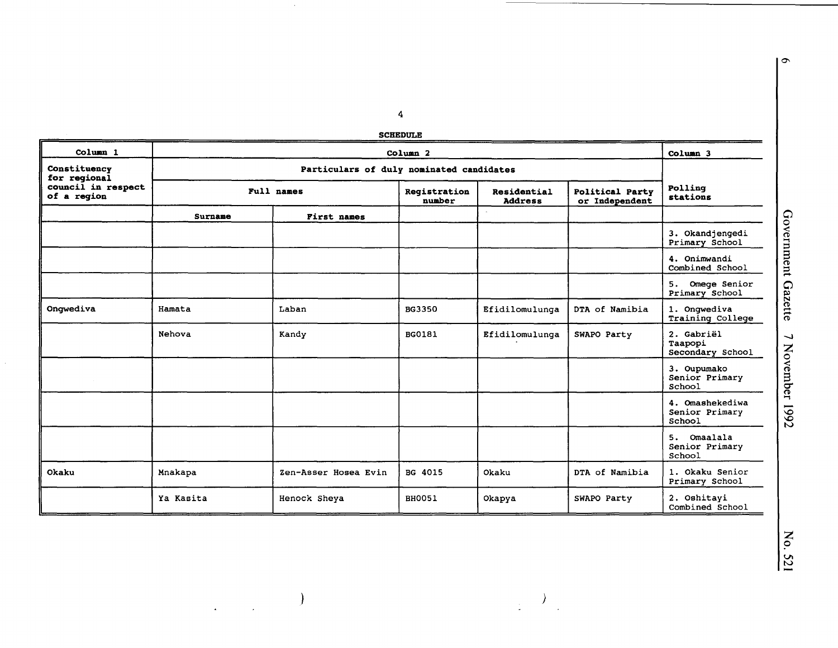$\overline{\mathbf{4}}$ **SCHEDULE** 

 $\sim$ 

 $\label{eq:2} \begin{array}{c} \mathcal{L}_{\text{max}}(\mathcal{L}_{\text{max}}) = \mathcal{L}_{\text{max}}(\mathcal{L}_{\text{max}}) \end{array}$ 

| Column <sub>1</sub>               |           | Column <sub>2</sub>  |                        |                               |                                          |                                             |
|-----------------------------------|-----------|----------------------|------------------------|-------------------------------|------------------------------------------|---------------------------------------------|
| Constituency<br>for regional      |           |                      |                        |                               |                                          |                                             |
| council in respect<br>of a region |           | Full names           | Registration<br>number | Residential<br><b>Address</b> | <b>Political Party</b><br>or Independent | Polling<br>stations                         |
|                                   | Surname   | <b>First names</b>   |                        |                               |                                          |                                             |
|                                   |           |                      |                        |                               |                                          | 3. Okandjengedi<br>Primary School           |
|                                   |           |                      |                        |                               |                                          | 4. Onimwandi<br>Combined School             |
|                                   |           |                      |                        |                               |                                          | Omege Senior<br>5.<br>Primary School        |
| Onqwediva                         | Hamata    | Laban                | BG3350                 | Efidilomulunga                | DTA of Namibia                           | 1. Onqwediva<br>Training College            |
|                                   | Nehova    | Kandy                | <b>BG0181</b>          | Efidilomulunga                | SWAPO Party                              | 2. Gabriël<br>Taapopi<br>Secondary School   |
|                                   |           |                      |                        |                               |                                          | 3. Oupumako<br>Senior Primary<br>School     |
|                                   |           |                      |                        |                               |                                          | 4. Omashekediwa<br>Senior Primary<br>School |
|                                   |           |                      |                        |                               |                                          | 5. Omaalala<br>Senior Primary<br>School     |
| Okaku                             | Mnakapa   | Zen-Asser Hosea Evin | BG 4015                | Okaku                         | DTA of Namibia                           | 1. Okaku Senior<br>Primary School           |
|                                   | Ya Kasita | Henock Sheya         | <b>BH0051</b>          | Okapya                        | SWAPO Party                              | 2. Oshitayi<br>Combined School              |

 $\frac{1}{2}$  ,  $\frac{1}{2}$ 

No. 521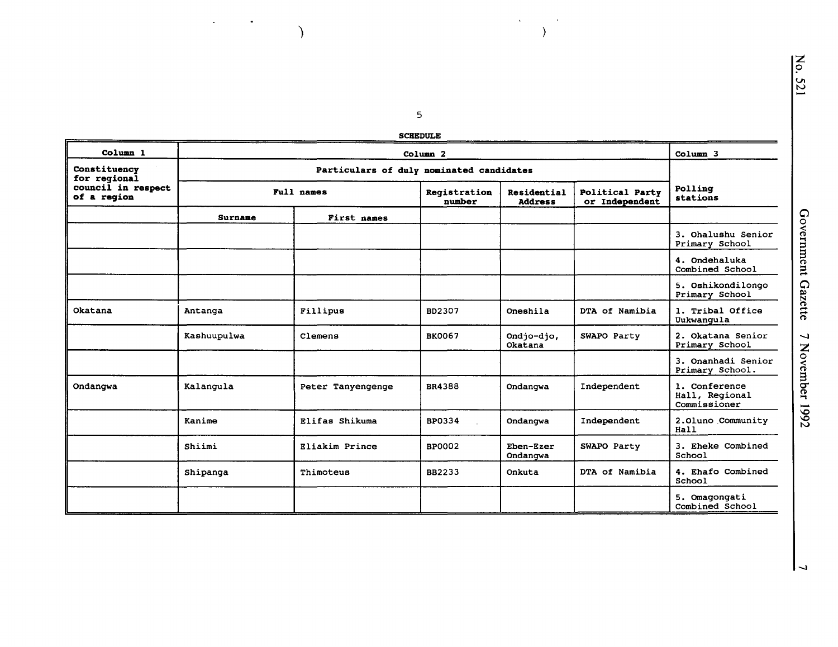### $\overline{\mathbf{5}}$ **SCHEDULE**

 $\Delta \sim 10^4$ 

 $\cdot$  $\rightarrow$ 

 $\mathcal{L}_{\text{max}}(\mathcal{L}_{\text{max}})$ 

 $\overline{\mathcal{L}}$ 

| Column <sub>1</sub>               |                |                                          | Column <sub>2</sub>    |                               |                                   | Column 3                                        |  |  |
|-----------------------------------|----------------|------------------------------------------|------------------------|-------------------------------|-----------------------------------|-------------------------------------------------|--|--|
| Constituency<br>for regional      |                | Particulars of duly nominated candidates |                        |                               |                                   |                                                 |  |  |
| council in respect<br>of a region |                | Full names                               | Registration<br>number | Residential<br><b>Address</b> | Political Party<br>or Independent | Polling<br>stations                             |  |  |
|                                   | <b>Surname</b> | First names                              |                        |                               |                                   |                                                 |  |  |
|                                   |                |                                          |                        |                               |                                   | 3. Ohalushu Senior<br>Primary School            |  |  |
|                                   |                |                                          |                        |                               |                                   | 4. Ondehaluka<br>Combined School                |  |  |
|                                   |                |                                          |                        |                               |                                   | 5. Oshikondilongo<br>Primary School             |  |  |
| Okatana                           | Antanga        | Fillipus                                 | BD2307                 | Oneshila                      | DTA of Namibia                    | 1. Tribal Office<br>Uukwangula                  |  |  |
|                                   | Kashuupulwa    | Clemens                                  | <b>BK0067</b>          | Ondjo-djo,<br>Okatana         | SWAPO Party                       | 2. Okatana Senior<br>Primary School             |  |  |
|                                   |                |                                          |                        |                               |                                   | 3. Onanhadi Senior<br>Primary School.           |  |  |
| Ondangwa                          | Kalangula      | Peter Tanyengenge                        | BR4388                 | Ondangwa                      | Independent                       | 1. Conference<br>Hall, Regional<br>Commissioner |  |  |
|                                   | Kanime         | Elifas Shikuma                           | <b>BP0334</b>          | Ondangwa                      | Independent                       | 2.01uno Community<br>Hall                       |  |  |
|                                   | Shiimi         | Eliakim Prince                           | <b>BP0002</b>          | Eben-Ezer<br>Ondangwa         | SWAPO Party                       | 3. Eheke Combined<br>School                     |  |  |
|                                   | Shipanga       | Thimoteus                                | BB2233                 | Onkuta                        | DTA of Namibia                    | 4. Ehafo Combined<br>School                     |  |  |
|                                   |                |                                          |                        |                               |                                   | 5. Omagongati<br>Combined School                |  |  |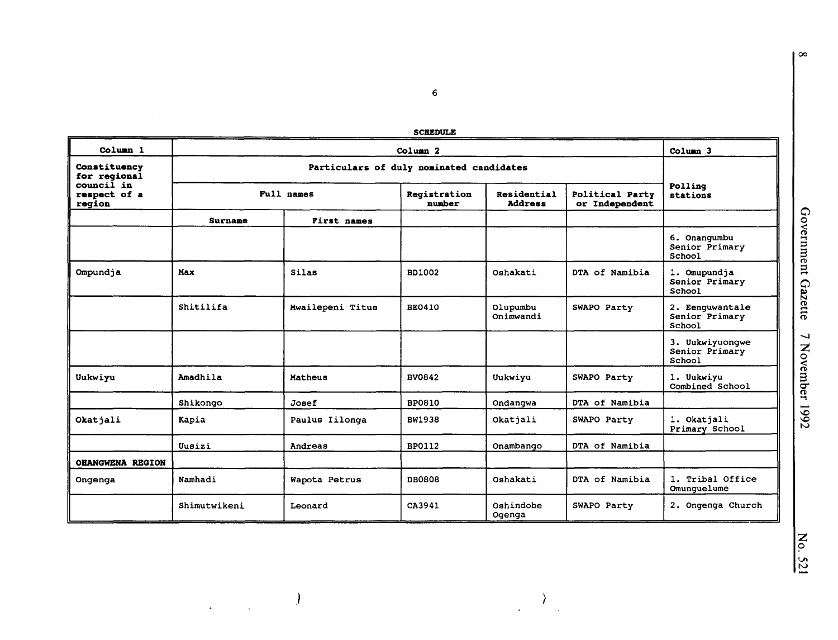6

|                                      |              |                                          | <b>SCHEDULE</b>        |                               |                                   |                                             |  |  |  |
|--------------------------------------|--------------|------------------------------------------|------------------------|-------------------------------|-----------------------------------|---------------------------------------------|--|--|--|
| Column <sub>1</sub>                  |              | Column <sub>3</sub>                      |                        |                               |                                   |                                             |  |  |  |
| Constituency<br>for regional         |              | Particulars of duly nominated candidates |                        |                               |                                   |                                             |  |  |  |
| council in<br>respect of a<br>region |              | Full names                               | Registration<br>number | Residential<br><b>Address</b> | Political Party<br>or Independent | Polling<br>stations                         |  |  |  |
|                                      | Surname      | First names                              |                        |                               |                                   |                                             |  |  |  |
|                                      |              |                                          |                        |                               |                                   | 6. Onangumbu<br>Senior Primary<br>School    |  |  |  |
| Ompundja                             | Max          | Silas                                    | BD1002                 | Oshakati                      | DTA of Namibia                    | 1. Omupundja<br>Senior Primary<br>School    |  |  |  |
|                                      | Shitilifa    | Mwailepeni Titus                         | <b>BE0410</b>          | Olupumbu<br>Onimwandi         | SWAPO Party                       | 2. Eenquwantale<br>Senior Primary<br>School |  |  |  |
|                                      |              |                                          |                        |                               |                                   | 3. Uukwiyuongwe<br>Senior Primary<br>School |  |  |  |
| Uukwiyu                              | Amadhila     | Matheus                                  | BV0842                 | Uukwiyu                       | SWAPO Party                       | 1. Uukwiyu<br>Combined School               |  |  |  |
|                                      | Shikongo     | Josef                                    | <b>BP0810</b>          | Ondangwa                      | DTA of Namibia                    |                                             |  |  |  |
| Okatjali                             | Kapia        | Paulus Iilonga                           | <b>BW1938</b>          | Okatjali                      | SWAPO Party                       | 1. Okatjali<br>Primary School               |  |  |  |
|                                      | Uusizi       | Andreas                                  | BP0112                 | Onambango                     | DTA of Namibia                    |                                             |  |  |  |
| <b>OHANGWENA REGION</b>              |              |                                          |                        |                               |                                   |                                             |  |  |  |
| Ongenga                              | Namhadi      | Wapota Petrus                            | <b>DBO808</b>          | Oshakati                      | DTA of Namibia                    | 1. Tribal Office<br>Omunquelume             |  |  |  |
|                                      | Shimutwikeni | Leonard                                  | CA3941                 | Oshindobe<br>Ogenga           | SWAPO Party                       | 2. Ongenga Church                           |  |  |  |

) and the contract of  $\langle \rangle$ 

 $\mathcal{L} = \frac{1}{2} \sum_{i=1}^{n} \frac{1}{i} \sum_{j=1}^{n} \frac{1}{j} \sum_{j=1}^{n} \frac{1}{j} \sum_{j=1}^{n} \frac{1}{j} \sum_{j=1}^{n} \frac{1}{j} \sum_{j=1}^{n} \frac{1}{j} \sum_{j=1}^{n} \frac{1}{j} \sum_{j=1}^{n} \frac{1}{j} \sum_{j=1}^{n} \frac{1}{j} \sum_{j=1}^{n} \frac{1}{j} \sum_{j=1}^{n} \frac{1}{j} \sum_{j=1}^{n} \frac{1}{j} \sum$ 

 $\overline{\infty}$ 

z 0 Vl tv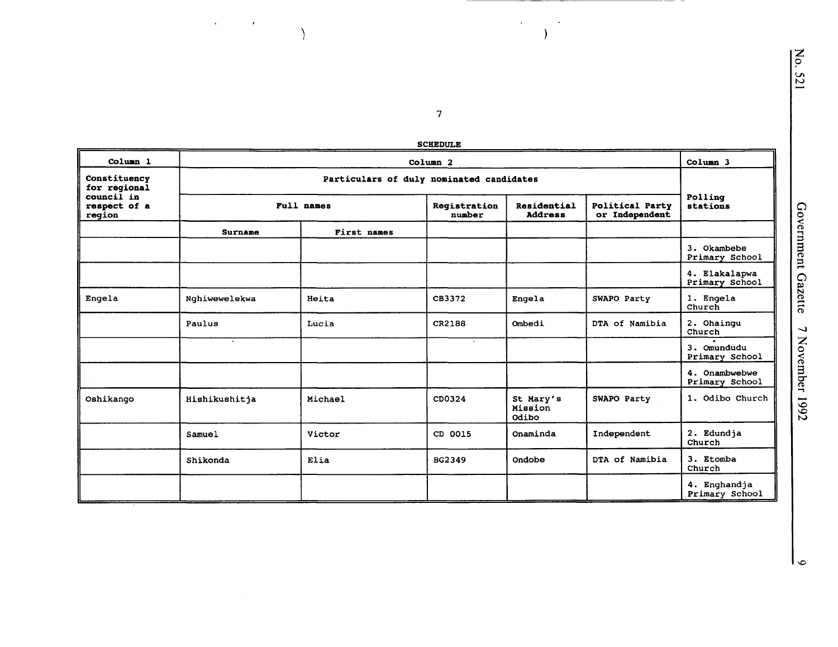| <b>SCHEDULE</b> |
|-----------------|
|                 |

 $\overline{7}$ 

 $\lambda$  .

 $\epsilon$  $\overline{\phantom{a}}$ 

 $\delta_{\rm{max}}$  ,  $\delta_{\rm{max}}$ 

 $\overline{\phantom{a}}$ 

| Column <sub>1</sub>                  |                |             | Column <sub>2</sub>    |                               |                                   | Column <sub>3</sub>             |
|--------------------------------------|----------------|-------------|------------------------|-------------------------------|-----------------------------------|---------------------------------|
| Constituency<br>for regional         |                |             |                        |                               |                                   |                                 |
| council in<br>respect of a<br>region | Full names     |             | Registration<br>number | Residential<br><b>Address</b> | Political Party<br>or Independent | Polling<br>stations             |
|                                      | <b>Surname</b> | First names |                        |                               |                                   |                                 |
|                                      |                |             |                        |                               |                                   | 3. Okambebe<br>Primary School   |
|                                      |                |             |                        |                               |                                   | 4. Elakalapwa<br>Primary School |
| Engela                               | Nghiwewelekwa  | Heita       | CB3372                 | Engela                        | SWAPO Party                       | 1. Engela<br>Church             |
|                                      | Paulus         | Lucia       | CR2188                 | Ombedi                        | DTA of Namibia                    | 2. Ohaingu<br>Church            |
|                                      | $\cdot$        |             |                        |                               |                                   | 3. Omundudu<br>Primary School   |
|                                      |                |             |                        |                               |                                   | 4. Onambwebwe<br>Primary School |
| Oshikango                            | Hishikushitja  | Michael     | CD0324                 | St Mary's<br>Mission<br>Odibo | SWAPO Party                       | 1. Odibo Church                 |
|                                      | Samuel         | Victor      | CD 0015                | Onaminda                      | Independent                       | 2. Edundja<br>Church            |
|                                      | Shikonda       | Elia        | BG2349                 | Ondobe                        | DTA of Namibia                    | 3. Etomba<br>Church             |
|                                      |                |             |                        |                               |                                   | 4. Enghandja<br>Primary School  |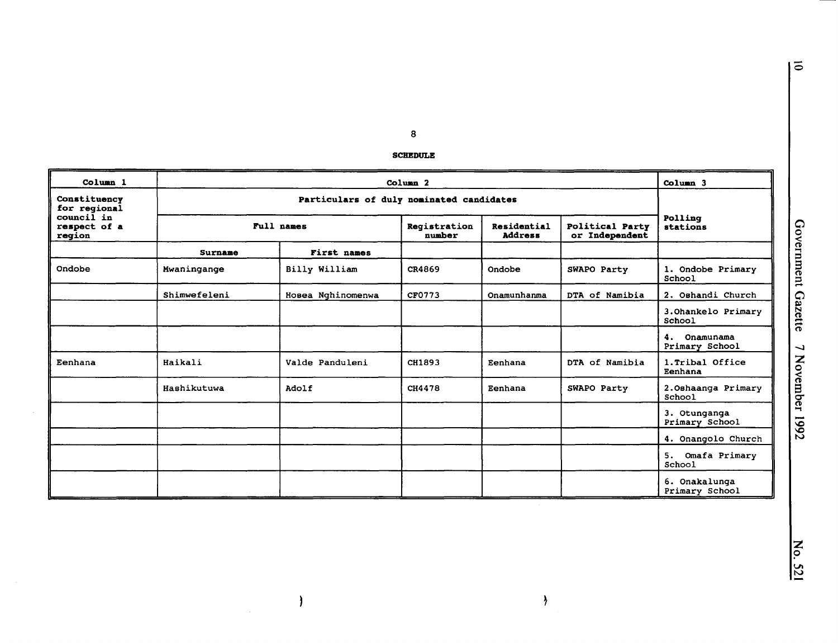$\bf{8}$ 

#### **SCHEDULE**

| Column <sub>1</sub>                  |              |                                          | Column <sub>2</sub>    |                               |                                   | Column 3                          |  |  |
|--------------------------------------|--------------|------------------------------------------|------------------------|-------------------------------|-----------------------------------|-----------------------------------|--|--|
| Constituency<br>for regional         |              | Particulars of duly nominated candidates |                        |                               |                                   |                                   |  |  |
| council in<br>respect of a<br>region |              | Full names                               | Reqistration<br>number | Residential<br><b>Address</b> | Political Party<br>or Independent | Polling<br>stations               |  |  |
|                                      | Surname      | First names                              |                        |                               |                                   |                                   |  |  |
| Ondobe                               | Mwaningange  | Billy William                            | CR4869                 | Ondobe                        | SWAPO Party                       | 1. Ondobe Primary<br>School       |  |  |
|                                      | Shimwefeleni | Hosea Nghinomenwa                        | CF0773                 | Onamunhanma                   | DTA of Namibia                    | 2. Oshandi Church                 |  |  |
|                                      |              |                                          |                        |                               |                                   | 3. Ohankelo Primary<br>School     |  |  |
|                                      |              |                                          |                        |                               |                                   | 4.<br>Onamunama<br>Primary School |  |  |
| Eenhana                              | Haikali      | Valde Panduleni                          | CH1893                 | Eenhana                       | DTA of Namibia                    | 1. Tribal Office<br>Eenhana       |  |  |
|                                      | Hashikutuwa  | Adolf                                    | CH4478                 | Eenhana                       | SWAPO Party                       | 2. Oshaanga Primary<br>School     |  |  |
|                                      |              |                                          |                        |                               |                                   | 3. Otunganga<br>Primary School    |  |  |
|                                      |              |                                          |                        |                               |                                   | 4. Onangolo Church                |  |  |
|                                      |              |                                          |                        |                               |                                   | 5. Omafa Primary<br>School        |  |  |
|                                      |              |                                          |                        |                               |                                   | 6. Onakalunga<br>Primary School   |  |  |

 $\pmb{\rangle}$ 

 $\rightarrow$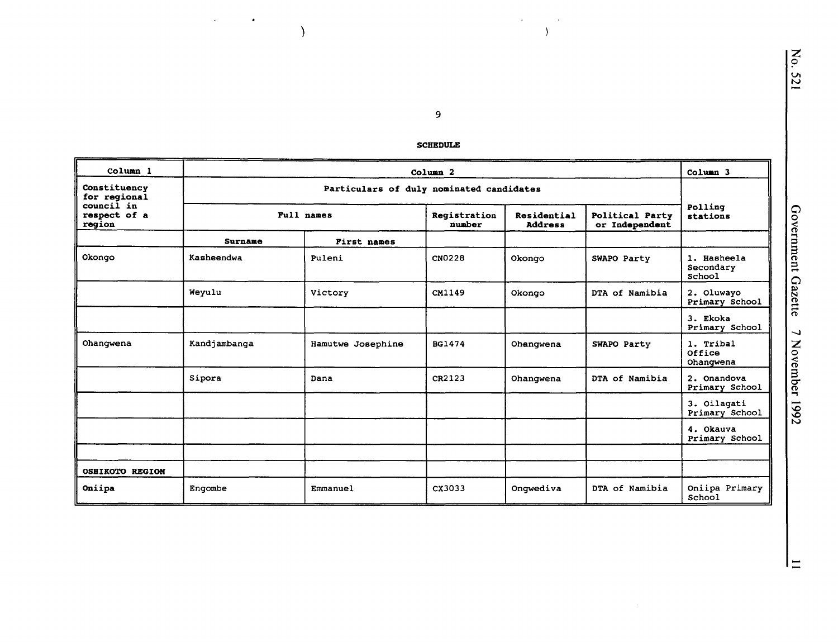$\boldsymbol{9}$ 

 $\mathcal{L}_{\mathcal{A}}$ 

 $\bullet$ 

 $\big)$ 

#### **SCHEDULE**

 $\bullet$ 

 $\mathcal{A}$ 

 $\rightarrow$ 

| Column 1                             | Column <sub>3</sub><br>Column <sub>2</sub> |                    |                        |                               |                                          |                                    |  |
|--------------------------------------|--------------------------------------------|--------------------|------------------------|-------------------------------|------------------------------------------|------------------------------------|--|
| Constituency<br>for regional         | Particulars of duly nominated candidates   |                    |                        |                               |                                          |                                    |  |
| council in<br>respect of a<br>region |                                            | Full names         | Registration<br>number | Residential<br><b>Address</b> | <b>Political Party</b><br>or Independent | Polling<br>stations                |  |
|                                      | Surname                                    | <b>First names</b> |                        |                               |                                          |                                    |  |
| Okongo                               | Kasheendwa                                 | Puleni             | CN0228                 | Okongo                        | SWAPO Party                              | 1. Hasheela<br>Secondary<br>School |  |
|                                      | Weyulu                                     | Victory            | CM1149                 | Okongo                        | DTA of Namibia                           | 2. Oluwayo<br>Primary School       |  |
|                                      |                                            |                    |                        |                               |                                          | 3. Ekoka<br>Primary School         |  |
| Ohangwena                            | Kandjambanga                               | Hamutwe Josephine  | BG1474                 | Ohangwena                     | SWAPO Party                              | 1. Tribal<br>Office<br>Ohangwena   |  |
|                                      | Sipora                                     | Dana               | CR2123                 | Ohangwena                     | DTA of Namibia                           | 2. Onandova<br>Primary School      |  |
|                                      |                                            |                    |                        |                               |                                          | 3. Oilagati<br>Primary School      |  |
|                                      |                                            |                    |                        |                               |                                          | 4. Okauva<br>Primary School        |  |
|                                      |                                            |                    |                        |                               |                                          |                                    |  |
| <b>OSHIKOTO REGION</b>               |                                            |                    |                        |                               |                                          |                                    |  |
| Oniipa                               | Engombe                                    | Emmanuel           | CX3033                 | Onqwediva                     | DTA of Namibia                           | Oniipa Primary<br>School           |  |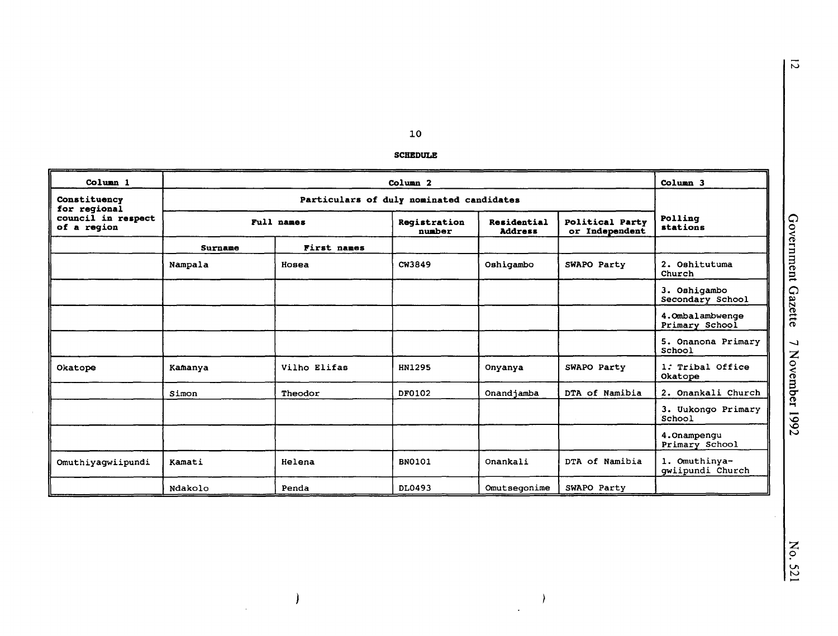$\overline{10}$ 

| <b>SCHEDULE</b> |  |
|-----------------|--|
|                 |  |

| Column <sub>1</sub>               |                                          | Column 3     |                        |                               |                                          |                                   |
|-----------------------------------|------------------------------------------|--------------|------------------------|-------------------------------|------------------------------------------|-----------------------------------|
| Constituency<br>for regional      | Particulars of duly nominated candidates |              |                        |                               |                                          |                                   |
| council in respect<br>of a region |                                          | Full names   | Registration<br>number | Residential<br><b>Address</b> | <b>Political Party</b><br>or Independent | Polling<br>stations               |
|                                   | Surname                                  | First names  |                        |                               |                                          |                                   |
|                                   | Nampala                                  | Hosea        | CW3849                 | Oshigambo                     | SWAPO Party                              | 2. Oshitutuma<br>Church           |
|                                   |                                          |              |                        |                               |                                          | 3. Oshigambo<br>Secondary School  |
|                                   |                                          |              |                        |                               |                                          | 4.Ombalambwenge<br>Primary School |
|                                   |                                          |              |                        |                               |                                          | 5. Onanona Primary<br>School      |
| Okatope                           | Kamanya                                  | Vilho Elifas | HN1295                 | Onyanya                       | SWAPO Party                              | 1. Tribal Office<br>Okatope       |
|                                   | Simon                                    | Theodor      | DF0102                 | Onandjamba                    | DTA of Namibia                           | 2. Onankali Church                |
|                                   |                                          |              |                        |                               |                                          | 3. Uukongo Primary<br>School      |
|                                   |                                          |              |                        |                               |                                          | 4. Onampengu<br>Primary School    |
| Omuthiyagwiipundi                 | Kamati                                   | Helena       | <b>BN0101</b>          | Onankali                      | DTA of Namibia                           | 1. Omuthinya-<br>gwiipundi Church |
|                                   | Ndakolo                                  | Penda        | DL0493                 | Omutsegonime                  | SWAPO Party                              |                                   |

 $\,$   $\,$ 

 $\overline{\phantom{a}}$ 

 $\overline{\phantom{a}}$ 

 $\bar{z}$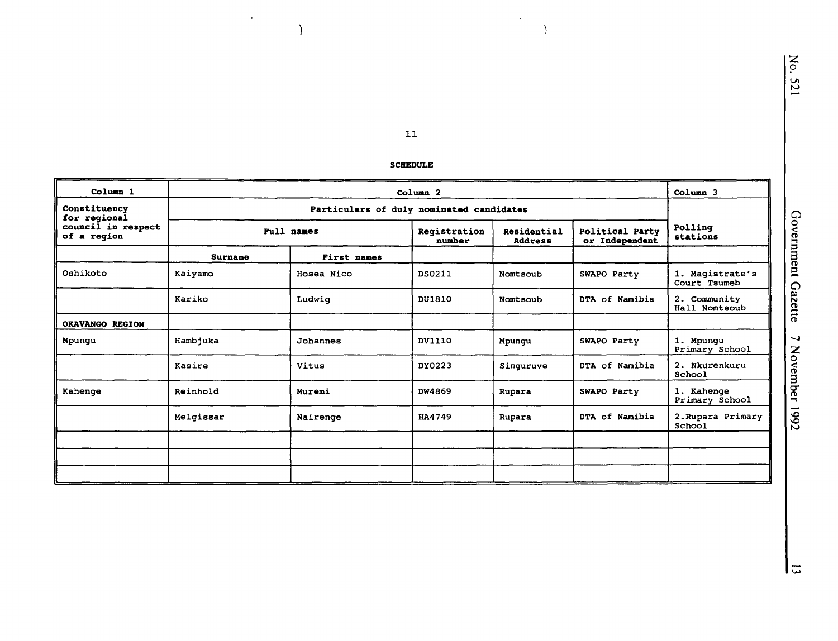11

 $\ddot{\phantom{0}}$ 

 $\rightarrow$ 

)

 $\langle \cdot \rangle$ 

|                                   |                | <b>SCHEDULE</b>                          |                        |                               |                                   |                                 |
|-----------------------------------|----------------|------------------------------------------|------------------------|-------------------------------|-----------------------------------|---------------------------------|
| Column 1                          |                |                                          | Column <sub>2</sub>    |                               |                                   | Column <sub>3</sub>             |
| Constituency<br>for regional      |                | Particulars of duly nominated candidates |                        |                               |                                   |                                 |
| council in respect<br>of a reqion | Full names     |                                          | Registration<br>number | Residential<br><b>Address</b> | Political Party<br>or Independent | Polling<br>stations             |
|                                   | <b>Surname</b> | First names                              |                        |                               |                                   |                                 |
| Oshikoto                          | Kaiyamo        | Hosea Nico                               | DS0211                 | Nomtsoub                      | SWAPO Party                       | 1. Magistrate's<br>Court Tsumeb |
|                                   | Kariko         | Ludwig                                   | DU1810                 | Nomtsoub                      | DTA of Namibia                    | 2. Community<br>Hall Nomtsoub   |
| OKAVANGO REGION                   |                |                                          |                        |                               |                                   |                                 |
| Mpungu                            | Hambjuka       | Johannes                                 | DV1110                 | Mpungu                        | SWAPO Party                       | 1. Mpungu<br>Primary School     |
|                                   | Kasire         | Vitus                                    | DY0223                 | Singuruve                     | DTA of Namibia                    | 2. Nkurenkuru<br>School         |
| Kahenge                           | Reinhold       | Muremi                                   | DW4869                 | Rupara                        | SWAPO Party                       | 1. Kahenge<br>Primary School    |
|                                   | Melgissar      | Nairenge                                 | HA4749                 | Rupara                        | DTA of Namibia                    | 2. Rupara Primary<br>School     |
|                                   |                |                                          |                        |                               |                                   |                                 |
|                                   |                |                                          |                        |                               |                                   |                                 |
|                                   |                |                                          |                        |                               |                                   |                                 |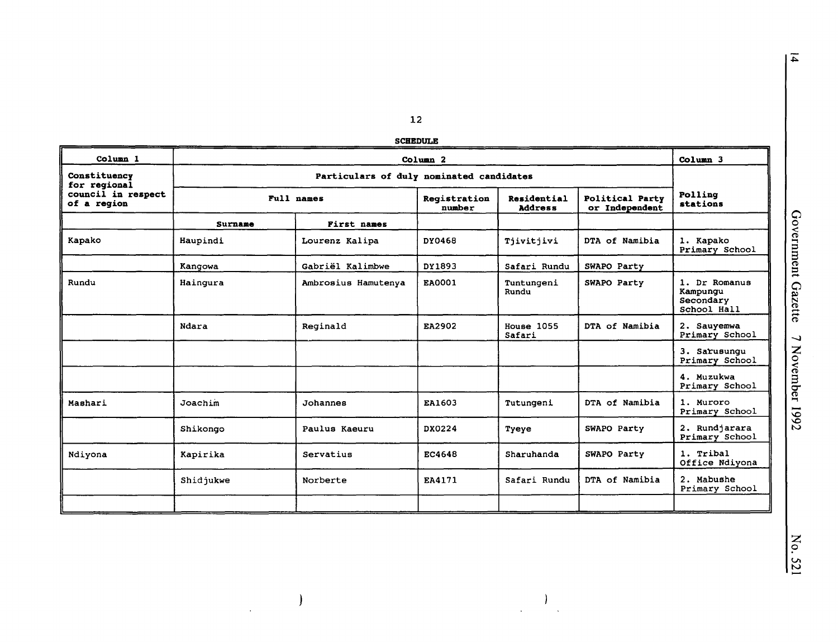|  | <b>SCHEDULE</b> |  |
|--|-----------------|--|

|                                   |           |                                          | <b>SCHEDULE</b>        |                               |                                   |                                                       |
|-----------------------------------|-----------|------------------------------------------|------------------------|-------------------------------|-----------------------------------|-------------------------------------------------------|
| Column 1                          |           |                                          | Column <sub>2</sub>    |                               |                                   | Column 3                                              |
| Constituency<br>for regional      |           | Particulars of duly nominated candidates |                        |                               |                                   |                                                       |
| council in respect<br>of a region |           | Full names                               | Registration<br>number | Residential<br><b>Address</b> | Political Party<br>or Independent | Polling<br>stations                                   |
|                                   | Surname   | First names                              |                        |                               |                                   |                                                       |
| Kapako                            | Haupindi  | Lourenz Kalipa                           | DY0468                 | Tjivitjivi                    | DTA of Namibia                    | 1. Kapako<br>Primary School                           |
|                                   | Kangowa   | Gabriël Kalimbwe                         | DY1893                 | Safari Rundu                  | SWAPO Party                       |                                                       |
| Rundu                             | Hainqura  | Ambrosius Hamutenya                      | EA0001                 | Tuntungeni<br>Rundu           | SWAPO Party                       | 1. Dr Romanus<br>Kampungu<br>Secondary<br>School Hall |
|                                   | Ndara     | Reginald                                 | EA2902                 | House 1055<br>Safari          | DTA of Namibia                    | 2. Sauyemwa<br>Primary School                         |
|                                   |           |                                          |                        |                               |                                   | 3. Sarusungu<br>Primary School                        |
|                                   |           |                                          |                        |                               |                                   | 4. Muzukwa<br>Primary School                          |
| Mashari                           | Joachim   | Johannes                                 | EA1603                 | Tutungeni                     | DTA of Namibia                    | 1. Muroro<br>Primary School                           |
|                                   | Shikongo  | Paulus Kaeuru                            | DX0224                 | Tyeye                         | SWAPO Party                       | 2. Rundjarara<br>Primary School                       |
| Ndiyona                           | Kapirika  | Servatius                                | EC4648                 | Sharuhanda                    | SWAPO Party                       | 1. Tribal<br>Office Ndiyona                           |
|                                   | Shidjukwe | Norberte                                 | EA4171                 | Safari Rundu                  | DTA of Namibia                    | 2. Mabushe<br>Primary School                          |
|                                   |           |                                          |                        |                               |                                   |                                                       |

 $\lambda$ 

 $\overline{\phantom{a}}$ 

 $\ddot{\phantom{1}}$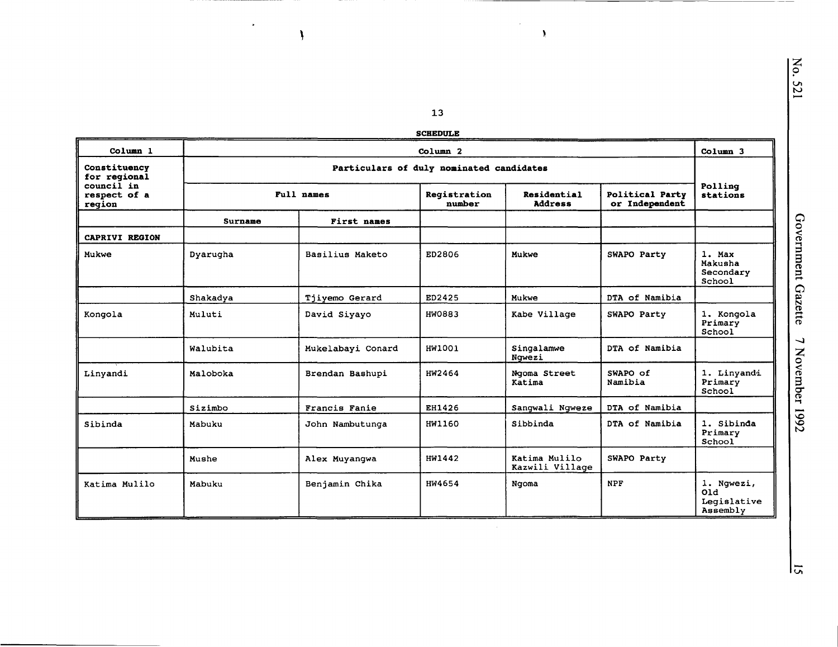$\overline{\omega}$ 

13

**SCHEDULE** 

 $\omega$ 

| Column <sub>1</sub>                  | Column <sub>2</sub>                      |                   |                        |                                  |                                          | Column 3                                     |
|--------------------------------------|------------------------------------------|-------------------|------------------------|----------------------------------|------------------------------------------|----------------------------------------------|
| Constituency<br>for regional         | Particulars of duly nominated candidates |                   |                        |                                  |                                          |                                              |
| council in<br>respect of a<br>region | Full names                               |                   | Registration<br>number | Residential<br><b>Address</b>    | <b>Political Party</b><br>or Independent | Polling<br>stations                          |
|                                      | Surname                                  | First names       |                        |                                  |                                          |                                              |
| CAPRIVI REGION                       |                                          |                   |                        |                                  |                                          |                                              |
| Mukwe                                | Dyarugha                                 | Basilius Maketo   | ED2806                 | Mukwe                            | SWAPO Party                              | 1. Max<br>Makusha<br>Secondary<br>School     |
|                                      | Shakadya                                 | Tjiyemo Gerard    | ED2425                 | Mukwe                            | DTA of Namibia                           |                                              |
| Kongola                              | Muluti                                   | David Siyayo      | HW0883                 | Kabe Village                     | SWAPO Party                              | 1. Kongola<br>Primary<br>School              |
|                                      | Walubita                                 | Mukelabayi Conard | HW1001                 | Singalamwe<br>Ngwezi             | DTA of Namibia                           |                                              |
| Linyandi                             | Maloboka                                 | Brendan Bashupi   | HW2464                 | Ngoma Street<br>Katima           | SWAPO of<br>Namibia                      | 1. Linyandi<br>Primary<br>School             |
|                                      | Sizimbo                                  | Francis Fanie     | EH1426                 | Sangwali Ngweze                  | DTA of Namibia                           |                                              |
| Sibinda                              | Mabuku                                   | John Nambutunga   | <b>HW1160</b>          | Sibbinda                         | DTA of Namibia                           | 1. Sibinda<br>Primary<br>School              |
|                                      | Mushe                                    | Alex Muyangwa     | HW1442                 | Katima Mulilo<br>Kazwili Village | SWAPO Party                              |                                              |
| Katima Mulilo                        | Mabuku                                   | Benjamin Chika    | HW4654                 | Ngoma                            | <b>NPF</b>                               | 1. Ngwezi,<br>Q1d<br>Legislative<br>Assembly |

 $\bullet$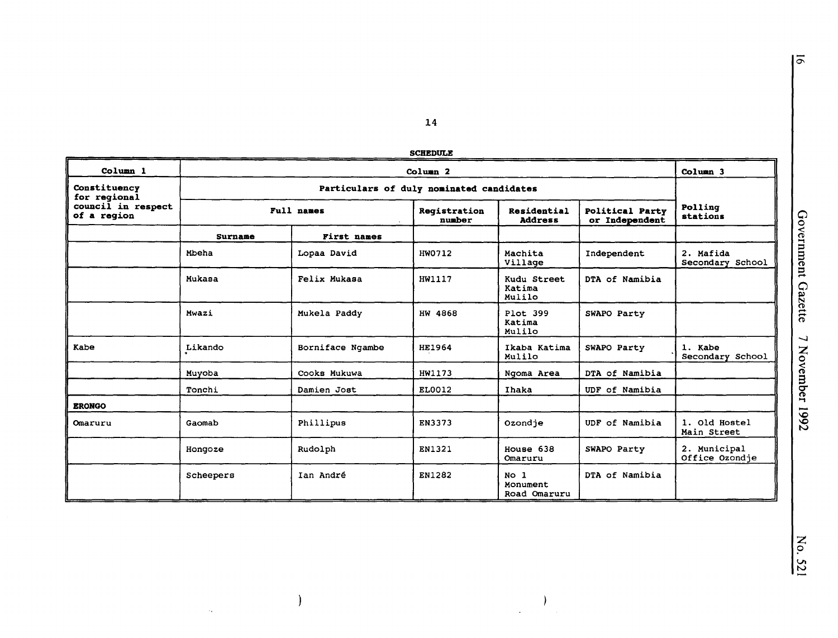| ١<br>J<br>٢<br>$\ddot{\cdot}$<br>:<br>֧֧֚֚֚֚֚֚֚֚֚֚֚֚֚֚֚֚֚֚֚֚֚֬֡֡֡֡֡֡֬֝֓֡֡֬<br>֧֧֧֧ׅ֧֧֧֧ׅ֧֚֚֚֚֚֚֚֚֚֚֚֚֚֚֚֚֚֚֚֚֚֚֚֚֚֝֬֓֓֜֓֓֜֜֓ |
|------------------------------------------------------------------------------------------------------------------------------|
| くそうにん<br>١                                                                                                                   |
| ì<br>'<br>Ĩ<br>$-111$                                                                                                        |
| t                                                                                                                            |

14

| <b>SCHEDULE</b> |  |
|-----------------|--|
|                 |  |

| Column 1                                                          | Column <sub>2</sub>                      |                    |                        |                                             |                                          | Column <sub>3</sub>            |
|-------------------------------------------------------------------|------------------------------------------|--------------------|------------------------|---------------------------------------------|------------------------------------------|--------------------------------|
| Constituency<br>for regional<br>council in respect<br>of a region | Particulars of duly nominated candidates |                    |                        |                                             |                                          |                                |
|                                                                   |                                          | Full names         | Registration<br>number | Residential<br><b>Address</b>               | <b>Political Party</b><br>or Independent | Polling<br>stations            |
|                                                                   | <b>Surname</b>                           | <b>First names</b> |                        |                                             |                                          |                                |
|                                                                   | Mbeha                                    | Lopaa David        | HW0712                 | Machita<br>Village                          | Independent                              | 2. Mafida<br>Secondary School  |
|                                                                   | Mukasa                                   | Felix Mukasa       | HW1117                 | Kudu Street<br>Katima<br>Mulilo             | DTA of Namibia                           |                                |
|                                                                   | Mwazi                                    | Mukela Paddy       | HW 4868                | Plot 399<br>Katima<br>Mulilo                | SWAPO Party                              |                                |
| Kabe                                                              | Likando                                  | Borniface Ngambe   | <b>HE1964</b>          | Ikaba Katima<br>Mulilo                      | SWAPO Party                              | 1. Kabe<br>Secondary School    |
|                                                                   | Muyoba                                   | Cooks Mukuwa       | HW1173                 | Ngoma Area                                  | DTA of Namibia                           |                                |
|                                                                   | Tonchi                                   | Damien Jost        | EL0012                 | Ihaka                                       | UDF of Namibia                           |                                |
| <b>ERONGO</b>                                                     |                                          |                    |                        |                                             |                                          |                                |
| Omaruru                                                           | Gaomab                                   | Phillipus          | EN3373                 | Ozondje                                     | UDF of Namibia                           | 1. Old Hostel<br>Main Street   |
|                                                                   | Hongoze                                  | Rudolph            | EN1321                 | House 638<br>Omaruru                        | SWAPO Party                              | 2. Municipal<br>Office Ozondje |
|                                                                   | Scheepers                                | Ian André          | EN1282                 | No <sub>1</sub><br>Monument<br>Road Omaruru | DTA of Namibia                           |                                |

No. 521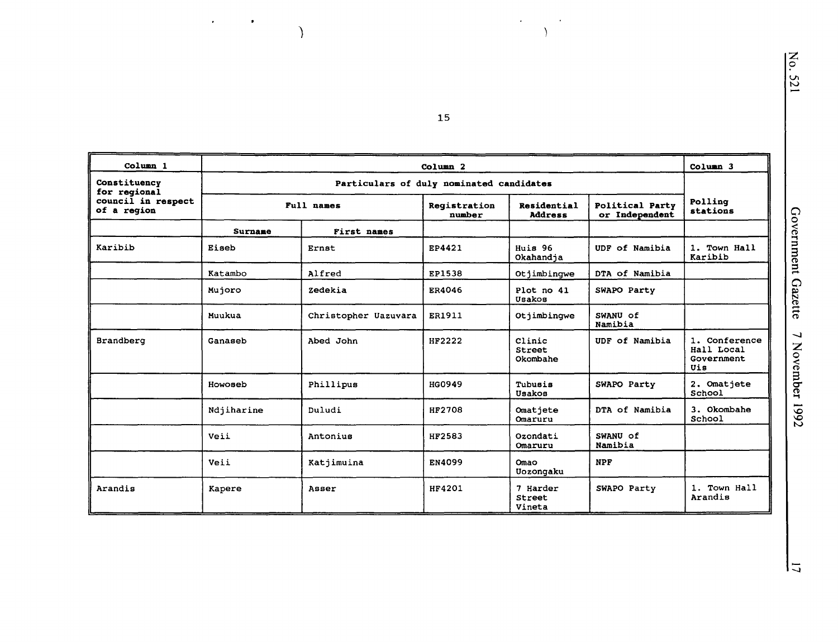| Un |  |
|----|--|
| r  |  |
|    |  |

| Column <sub>1</sub>               |                | Column <sub>3</sub>                      |                        |                               |                                   |                                                  |
|-----------------------------------|----------------|------------------------------------------|------------------------|-------------------------------|-----------------------------------|--------------------------------------------------|
| Constituency<br>for regional      |                | Particulars of duly nominated candidates |                        |                               |                                   |                                                  |
| council in respect<br>of a region | Full names     |                                          | Registration<br>number | Residential<br><b>Address</b> | Political Party<br>or Independent | Polling<br>stations                              |
|                                   | <b>Surname</b> | First names                              |                        |                               |                                   |                                                  |
| Karibib                           | Eiseb          | Ernst                                    | EP4421                 | Huis 96<br>Okahandja          | UDF of Namibia                    | 1. Town Hall<br>Karibib                          |
|                                   | Katambo        | Alfred                                   | EP1538                 | Otjimbingwe                   | DTA of Namibia                    |                                                  |
|                                   | Mujoro         | Zedekia                                  | ER4046                 | Plot no 41<br>Usakos          | SWAPO Party                       |                                                  |
|                                   | Muukua         | Christopher Uazuvara                     | ER1911                 | Otjimbingwe                   | SWANU of<br>Namibia               |                                                  |
| Brandberg                         | Ganaseb        | Abed John                                | HF2222                 | Clinic<br>Street<br>Okombahe  | UDF of Namibia                    | 1. Conference<br>Hall Local<br>Government<br>Uis |
|                                   | Howoseb        | Phillipus                                | <b>HG0949</b>          | Tubusis<br>Usakos             | SWAPO Party                       | 2. Omatjete<br>School                            |
|                                   | Ndjiharine     | Duludi                                   | <b>HF2708</b>          | Omatiete<br>Omaruru           | DTA of Namibia                    | 3. Okombahe<br>School                            |
|                                   | Veii           | Antonius                                 | HF2583                 | Ozondati<br>Omaruru           | SWANU of<br>Namibia               |                                                  |
|                                   | Veii           | Katjimuina                               | EN4099                 | Omao<br>Uozongaku             | <b>NPF</b>                        |                                                  |
| Arandis                           | Kapere         | Asser                                    | HF4201                 | 7 Harder<br>Street<br>Vineta  | SWAPO Party                       | 1. Town Hall<br>Arandis                          |

15

 $\ddot{\phantom{a}}$ 

 $\lambda$ 

 $\mathcal{L}$ 

 $\bullet$ 

 $\overline{\phantom{a}}$ 

 $\overline{5}$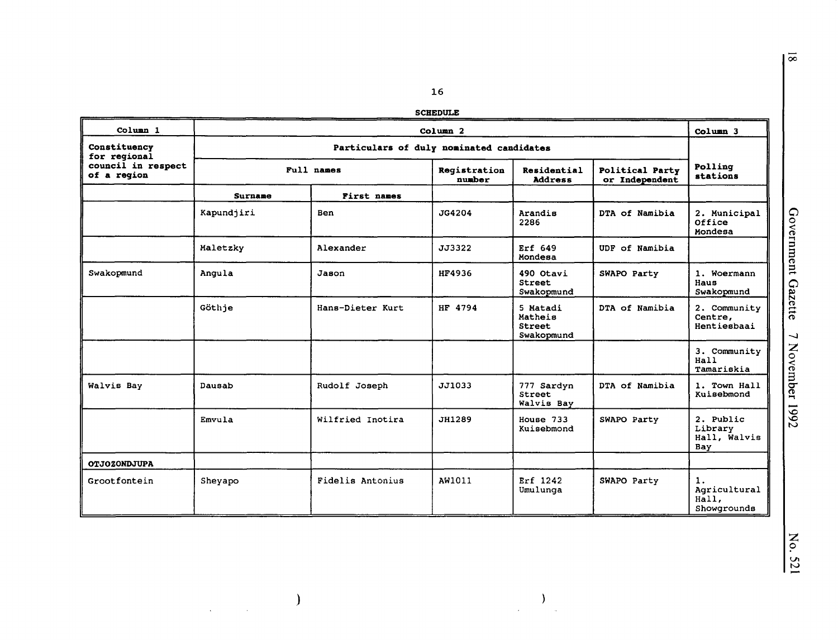#### **SCHEDULE**

| Column <sub>1</sub>               |                                          | Column <sub>2</sub> |                        |                                             |                |                                             |  |
|-----------------------------------|------------------------------------------|---------------------|------------------------|---------------------------------------------|----------------|---------------------------------------------|--|
| Constituency<br>for regional      | Particulars of duly nominated candidates |                     |                        |                                             |                |                                             |  |
| council in respect<br>of a reqion |                                          | Full names          | Registration<br>number | Residential<br><b>Address</b>               |                | Polling<br>stations                         |  |
|                                   | <b>Surname</b>                           | First names         |                        |                                             |                |                                             |  |
|                                   | Kapundjiri                               | Ben                 | JG4204                 | Arandis<br>2286                             | DTA of Namibia | 2. Municipal<br>Office<br>Mondesa           |  |
|                                   | Maletzky                                 | Alexander           | JJ3322                 | Erf 649<br>Mondesa                          | UDF of Namibia |                                             |  |
| Swakopmund                        | Angula                                   | Jason               | HF4936                 | 490 Otavi<br>Street<br>Swakopmund           | SWAPO Party    | 1. Woermann<br>Haus<br>Swakopmund           |  |
|                                   | Göthje                                   | Hans-Dieter Kurt    | HF 4794                | 5 Matadi<br>Matheis<br>Street<br>Swakopmund | DTA of Namibia | 2. Community<br>Centre,<br>Hentiesbaai      |  |
|                                   |                                          |                     |                        |                                             |                | 3. Community<br>Hall<br>Tamariskia          |  |
| Walvis Bay                        | Dausab                                   | Rudolf Joseph       | JJ1033                 | 777 Sardyn<br>Street<br>Walvis Bay          | DTA of Namibia | 1. Town Hall<br>Kuisebmond                  |  |
|                                   | Emvula                                   | Wilfried Inotira    | JH1289                 | House 733<br>Kuisebmond                     | SWAPO Party    | 2. Public<br>Library<br>Hall, Walvis<br>Bay |  |
| <b>OTJOZONDJUPA</b>               |                                          |                     |                        |                                             |                |                                             |  |
| Grootfontein                      | Sheyapo                                  | Fidelis Antonius    | AW1011                 | Erf 1242<br>Umulunga                        | SWAPO Party    | 1.<br>Agricultural<br>Hall,<br>Showgrounds  |  |

 $\,$  )  $\,$ 

 $\sim$ 

 $\mathcal{L}_{\mathcal{A}}$ 

 $\overline{\infty}$ 

 $\Big)$ 

 $\sim 10^7$ 

 $\Delta$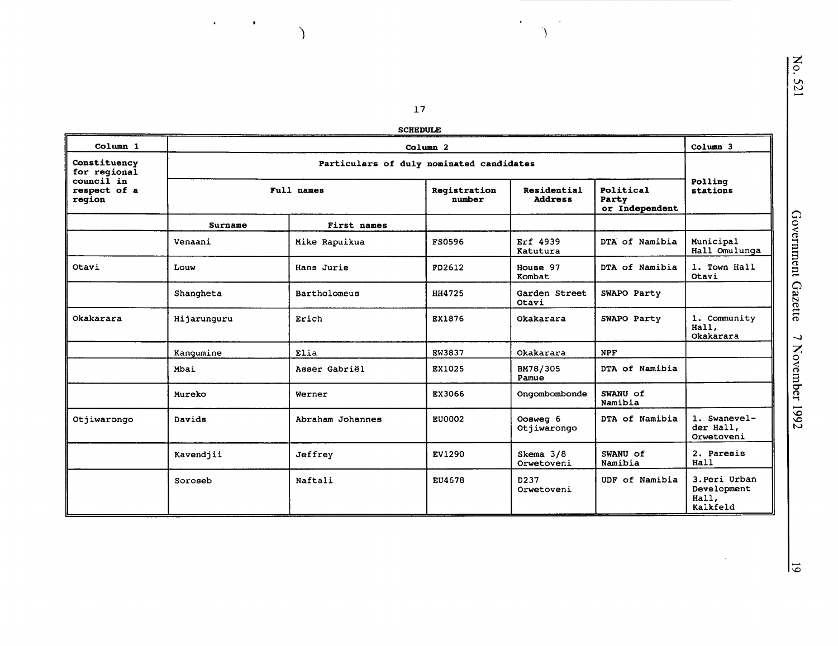$\mathcal{F}_{\mathcal{G}}$ 

 $\Delta$ 

 $\mathcal{A}^{\mathcal{A}}$ 

 $\mathcal{F}_{\text{max}}$  and  $\mathcal{F}_{\text{max}}$ 

 $\overline{\mathcal{L}}$ 

|  | <b>SCHEDUL</b> |  |
|--|----------------|--|

|                                      |                | <b>SCHEDULE</b>                          |                        |                               |                                      |                                                   |
|--------------------------------------|----------------|------------------------------------------|------------------------|-------------------------------|--------------------------------------|---------------------------------------------------|
| Column 1                             |                |                                          | Column <sub>2</sub>    |                               |                                      | Column 3                                          |
| Constituency<br>for regional         |                | Particulars of duly nominated candidates |                        |                               |                                      |                                                   |
| council in<br>respect of a<br>region |                | Full names                               | Registration<br>number | Residential<br><b>Address</b> | Political<br>Party<br>or Independent | Polling<br>stations                               |
|                                      | <b>Surname</b> | First names                              |                        |                               |                                      |                                                   |
|                                      | Venaani        | Mike Rapuikua                            | FS0596                 | Erf 4939<br>Katutura          | DTA of Namibia                       | Municipal<br>Hall Omulunga                        |
| Otavi                                | Louw           | Hans Jurie                               | FD2612                 | House 97<br>Kombat            | DTA of Namibia                       | 1. Town Hall<br>Otavi                             |
|                                      | Shangheta      | Bartholomeus                             | <b>HH4725</b>          | Garden Street<br>Otavi        | SWAPO Party                          |                                                   |
| Okakarara                            | Hijarunguru    | Erich                                    | EX1876                 | Okakarara                     | SWAPO Party                          | 1. Community<br>Hall,<br>Okakarara                |
|                                      | Kangumine      | Elia                                     | EW3837                 | Okakarara                     | <b>NPF</b>                           |                                                   |
|                                      | Mbai           | Asser Gabriël                            | EX1025                 | BM78/305<br>Pamue             | DTA of Namibia                       |                                                   |
|                                      | Mureko         | Werner                                   | EX3066                 | Ongombombonde                 | SWANU of<br>Namibia                  |                                                   |
| Otjiwarongo                          | Davids         | Abraham Johannes                         | EU0002                 | Oosweg 6<br>Otjiwarongo       | DTA of Namibia                       | 1. Swanevel-<br>der Hall,<br>Orwetoveni           |
|                                      | Kavendjii      | Jeffrey                                  | EV1290                 | Skema 3/8<br>Orwetoveni       | SWANU of<br>Namibia                  | 2. Paresis<br>Hall                                |
|                                      | Soroseb        | Naftali                                  | EU4678                 | D237<br>Orwetoveni            | UDF of Namibia                       | 3. Peri Urban<br>Development<br>Hall,<br>Kalkfeld |

 $\sim$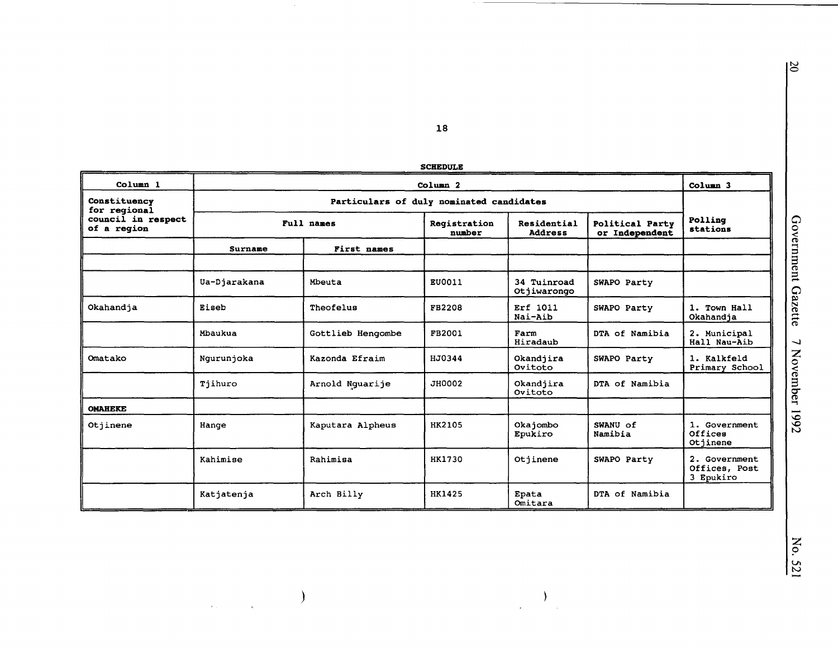$\overline{5}$ 

18

 $\sim$ 

 $\hspace{0.1cm}$  )

 $\label{eq:2.1} \frac{1}{\sqrt{2\pi}}\int_{0}^{\frac{1}{2}}\frac{1}{\sqrt{2\pi}}\left(\frac{1}{\sqrt{2\pi}}\right)^{2\alpha}dx\leq\frac{1}{2\sqrt{2\pi}}\int_{0}^{\frac{1}{2}}\frac{1}{\sqrt{2\pi}}\left(\frac{1}{\sqrt{2\pi}}\right)^{\frac{1}{2}}dx$ 

| Column <sub>1</sub>               | Column <sub>2</sub>                      |                   |                        |                               |                                   | Column <sub>3</sub>                         |  |
|-----------------------------------|------------------------------------------|-------------------|------------------------|-------------------------------|-----------------------------------|---------------------------------------------|--|
| Constituency<br>for regional      | Particulars of duly nominated candidates |                   |                        |                               |                                   |                                             |  |
| council in respect<br>of a region | Full names                               |                   | Registration<br>number | Residential<br><b>Address</b> | Political Party<br>or Independent | Polling<br>stations                         |  |
|                                   | Surname                                  | First names       |                        |                               |                                   |                                             |  |
|                                   |                                          |                   |                        |                               |                                   |                                             |  |
|                                   | Ua-Djarakana                             | Mbeuta            | EU0011                 | 34 Tuinroad<br>Otjiwarongo    | SWAPO Party                       |                                             |  |
| Okahandja                         | Eiseb                                    | Theofelus         | FB2208                 | Erf 1011<br>Nai-Aib           | SWAPO Party                       | 1. Town Hall<br>Okahandja                   |  |
|                                   | Mbaukua                                  | Gottlieb Hengombe | FB2001                 | Farm<br>Hiradaub              | DTA of Namibia                    | 2. Municipal<br>Hall Nau-Aib                |  |
| Omatako                           | Ngurunjoka                               | Kazonda Efraim    | HJ0344                 | Okandjira<br>Ovitoto          | SWAPO Party                       | 1. Kalkfeld<br>Primary School               |  |
|                                   | Tjihuro                                  | Arnold Nguarije   | JH0002                 | Okandjira<br>Ovitoto          | DTA of Namibia                    |                                             |  |
| <b>OMAHEKE</b>                    |                                          |                   |                        |                               |                                   |                                             |  |
| Otjinene                          | Hange                                    | Kaputara Alpheus  | HK2105                 | Okajombo<br>Epukiro           | SWANU of<br>Namibia               | 1. Government<br>Offices<br>Otiinene        |  |
|                                   | Kahimise                                 | Rahimisa          | HK1730                 | Otiinene                      | SWAPO Party                       | 2. Government<br>Offices, Post<br>3 Epukiro |  |
|                                   | Katjatenja                               | Arch Billy        | <b>HK1425</b>          | Epata<br>Omitara              | DTA of Namibia                    |                                             |  |

 $\sum_{i=1}^{n}$ 

 $\hat{\mathcal{L}}$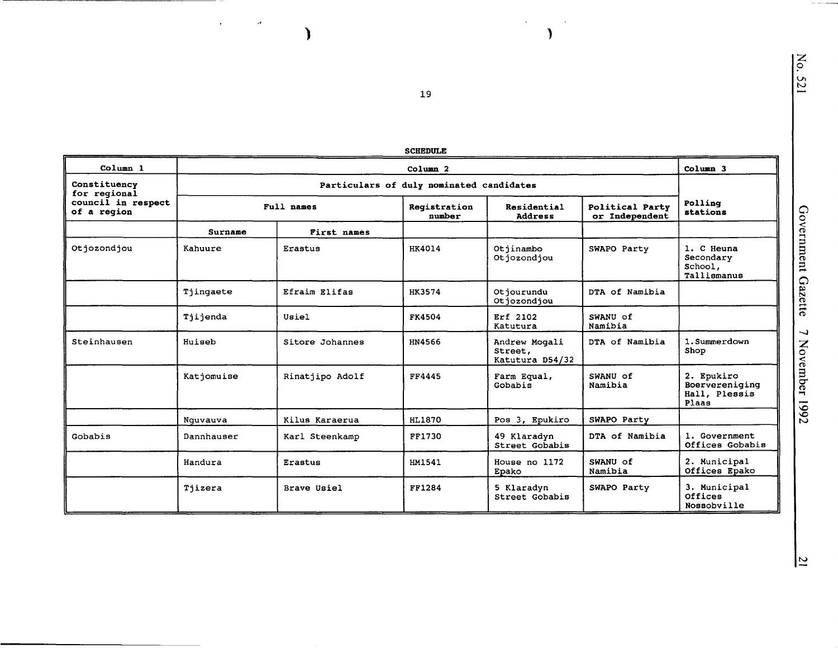| Column 1                          |            |                 | ətrdduld<br>Column <sub>2</sub>          |                                             |                                   | Column 3                                               |
|-----------------------------------|------------|-----------------|------------------------------------------|---------------------------------------------|-----------------------------------|--------------------------------------------------------|
| Constituency                      |            |                 |                                          |                                             |                                   |                                                        |
| for regional                      |            |                 | Particulars of duly nominated candidates |                                             |                                   |                                                        |
| council in respect<br>of a region |            | Full names      | Reqistration<br>number                   | Residential<br><b>Address</b>               | Political Party<br>or Independent | Polling<br>stations                                    |
|                                   | Surname    | First names     |                                          |                                             |                                   |                                                        |
| Otjozondjou                       | Kahuure    | Erastus         | HK4014                                   | Otjinambo<br>Otjozondjou                    | SWAPO Party                       | 1. C Heuna<br>Secondary<br>School,<br>Tallismanus      |
|                                   | Tjingaete  | Efraim Elifas   | HK3574                                   | Otjourundu<br>Otjozondjou                   | DTA of Namibia                    |                                                        |
|                                   | Tjijenda   | Usiel           | FK4504                                   | Erf 2102<br>Katutura                        | SWANU of<br>Namibia               |                                                        |
| Steinhausen                       | Huiseb     | Sitore Johannes | HN4566                                   | Andrew Mogali<br>Street,<br>Katutura D54/32 | DTA of Namibia                    | 1. Summerdown<br>Shop                                  |
|                                   | Katjomuise | Rinatjipo Adolf | FF4445                                   | Farm Equal,<br>Gobabis                      | SWANU of<br>Namibia               | 2. Epukiro<br>Boervereniging<br>Hall, Plessis<br>Plaas |
|                                   | Nguvauva   | Kilus Karaerua  | HL1870                                   | Pos 3, Epukiro                              | SWAPO Party                       |                                                        |
| Gobabis                           | Dannhauser | Karl Steenkamp  | FF1730                                   | 49 Klaradyn<br>Street Gobabis               | DTA of Namibia                    | 1. Government<br>Offices Gobabis                       |
|                                   | Handura    | Erastus         | HM1541                                   | House no 1172<br>Epako                      | SWANU of<br>Namibia               | 2. Municipal<br>Offices Epako                          |
|                                   | Tjizera    | Brave Usiel     | FF1284                                   | 5 Klaradyn<br>Street Gobabis                | SWAPO Party                       | 3. Municipal<br>Offices<br>Nossobville                 |

**SCHEDULE** 

19

 $\bar{z}$ 

 $\epsilon$ 

 $\lambda$ 

 $\mathcal{A}$ 

 $\lambda$ 

 $\mathcal{L}^{\text{max}}$ 

No. 521

Government Gazette 7 November 1992

 $\overline{\Xi}$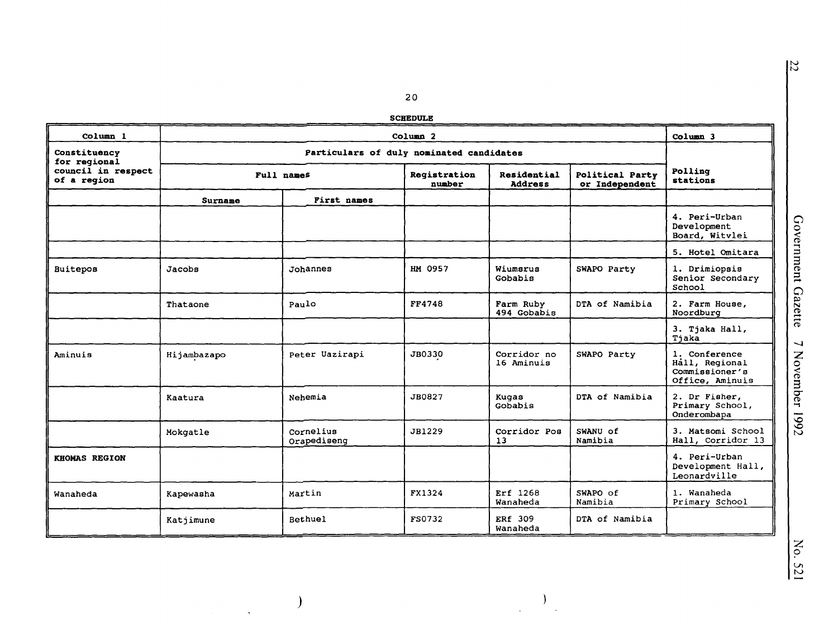**SCHEDULE** 

| Column 1                          | Column <sub>2</sub> |                                          |                        |                               |                                   | Column 3                                                             |
|-----------------------------------|---------------------|------------------------------------------|------------------------|-------------------------------|-----------------------------------|----------------------------------------------------------------------|
| Constituency<br>for regional      |                     | Particulars of duly nominated candidates |                        |                               |                                   |                                                                      |
| council in respect<br>of a region |                     | Full names                               | Registration<br>number | Residential<br><b>Address</b> | Political Party<br>or Independent | Polling<br>stations                                                  |
|                                   | <b>Surname</b>      | First names                              |                        |                               |                                   |                                                                      |
|                                   |                     |                                          |                        |                               |                                   | 4. Peri-Urban<br>Development<br>Board, Witvlei                       |
|                                   |                     |                                          |                        |                               |                                   | 5. Hotel Omitara                                                     |
| Buitepos                          | Jacobs              | Johannes                                 | HM 0957                | Wiumsrus<br>Gobabis           | SWAPO Party                       | 1. Drimiopsis<br>Senior Secondary<br>School                          |
|                                   | Thataone            | Paulo                                    | FF4748                 | Farm Ruby<br>494 Gobabis      | DTA of Namibia                    | 2. Farm House,<br>Noordburg                                          |
|                                   |                     |                                          |                        |                               |                                   | 3. Tjaka Hall,<br>Tjaka                                              |
| Aminuis                           | Hijambazapo         | Peter Uazirapi                           | JB0330                 | Corridor no<br>16 Aminuis     | SWAPO Party                       | 1. Conference<br>Hall, Regional<br>Commissioner's<br>Office, Aminuis |
|                                   | Kaatura             | Nehemia                                  | JB0827                 | Kuqas<br>Gobabis              | DTA of Namibia                    | 2. Dr Fisher,<br>Primary School,<br>Onderombapa                      |
|                                   | Mokgatle            | Cornelius<br>Orapediseng                 | JB1229                 | Corridor Pos<br>13            | SWANU of<br>Namibia               | 3. Matsomi School<br>Hall, Corridor 13                               |
| <b>KHOMAS REGION</b>              |                     |                                          |                        |                               |                                   | 4. Peri-Urban<br>Development Hall,<br>Leonardville                   |
| Wanaheda                          | Kapewasha           | Martin                                   | FX1324                 | Erf 1268<br>Wanaheda          | SWAPO of<br>Namibia               | 1. Wanaheda<br>Primary School                                        |
|                                   | Katjimune           | Bethuel                                  | FS0732                 | ERf 309<br>Wanaheda           | DTA of Namibia                    |                                                                      |

 $\overline{z}$ 

 $\big)$ 

 $\label{eq:1} \frac{1}{\sqrt{2}}\int_{0}^{\sqrt{2}}\frac{1}{\sqrt{2}}\left(\frac{1}{\sqrt{2}}\right)^{2}dx$ 

 $\begin{array}{c} \begin{array}{c} \text{ } \\ \text{ } \\ \text{ } \\ \end{array} \end{array}$  $\frac{1}{2}$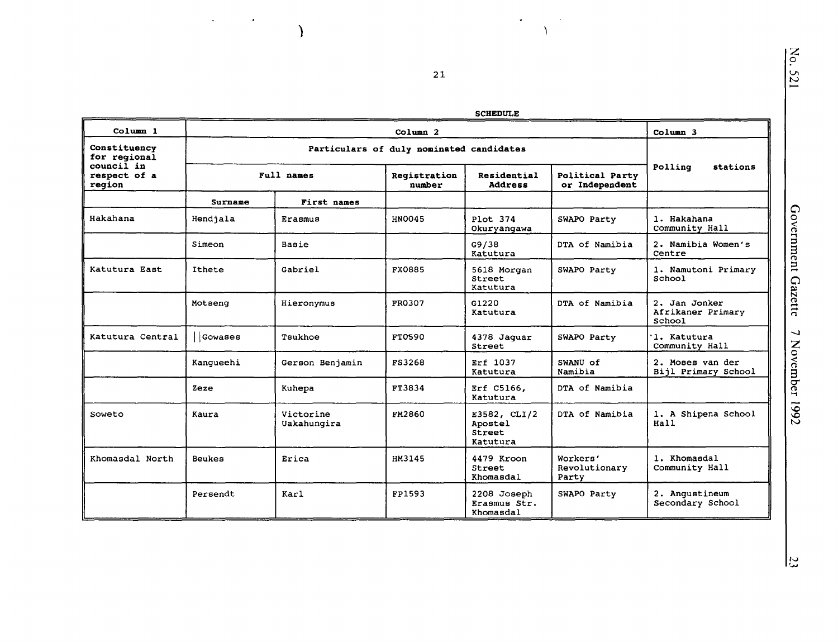$\rm \Sigma_{c}$ Vl N

| <b>HEDULE</b> |  |
|---------------|--|
|---------------|--|

 $\bullet$ 

 $\bar{A}$ 

 $\lambda$ 

|                                      |           |                          |                        | <b>SCHEDULE</b>                               |                                    |                                              |
|--------------------------------------|-----------|--------------------------|------------------------|-----------------------------------------------|------------------------------------|----------------------------------------------|
| Column 1                             |           | Column 3                 |                        |                                               |                                    |                                              |
| Constituency<br>for regional         |           |                          |                        |                                               |                                    |                                              |
| council in<br>respect of a<br>region |           | Full names               | Registration<br>number | Residential<br><b>Address</b>                 | Political Party<br>or Independent  | Polling<br>stations                          |
|                                      | Surname   | First names              |                        |                                               |                                    |                                              |
| Hakahana                             | Hendjala  | Erasmus                  | HN0045                 | Plot 374<br>Okuryangawa                       | SWAPO Party                        | 1. Hakahana<br>Community Hall                |
|                                      | Simeon    | Basie                    |                        | G9/38<br>Katutura                             | DTA of Namibia                     | 2. Namibia Women's<br>Centre                 |
| Katutura East                        | Ithete    | Gabriel                  | <b>FX0885</b>          | 5618 Morgan<br>Street<br>Katutura             | SWAPO Party                        | 1. Namutoni Primary<br>School                |
|                                      | Motseng   | Hieronymus               | FR0307                 | G1220<br>Katutura                             | DTA of Namibia                     | 2. Jan Jonker<br>Afrikaner Primary<br>School |
| Katutura Central                     | Gowases   | Tsukhoe                  | FT0590                 | 4378 Jaguar<br>Street                         | SWAPO Party                        | 1. Katutura<br>Community Hall                |
|                                      | Kangueehi | Gerson Benjamin          | FS3268                 | Erf 1037<br>Katutura                          | SWANU of<br>Namibia                | 2. Moses van der<br>Bijl Primary School      |
|                                      | Zeze      | Kuhepa                   | FT3834                 | Erf C5166,<br>Katutura                        | DTA of Namibia                     |                                              |
| Soweto                               | Kaura     | Victorine<br>Uakahungira | <b>FM2860</b>          | E3582, CLI/2<br>Apostel<br>Street<br>Katutura | DTA of Namibia                     | 1. A Shipena School<br>Hall                  |
| Khomasdal North                      | Beukes    | Erica                    | HM3145                 | 4479 Kroon<br>Street<br>Khomasdal             | Workers'<br>Revolutionary<br>Party | 1. Khomasdal<br>Community Hall               |
|                                      | Persendt  | Karl                     | FP1593                 | 2208 Joseph<br>Erasmus Str.<br>Khomasdal      | SWAPO Party                        | 2. Anqustineum<br>Secondary School           |

21

)

 $\bar{\mathbf{r}}$ 

 $\sim 10^{11}$  eV  $\mu$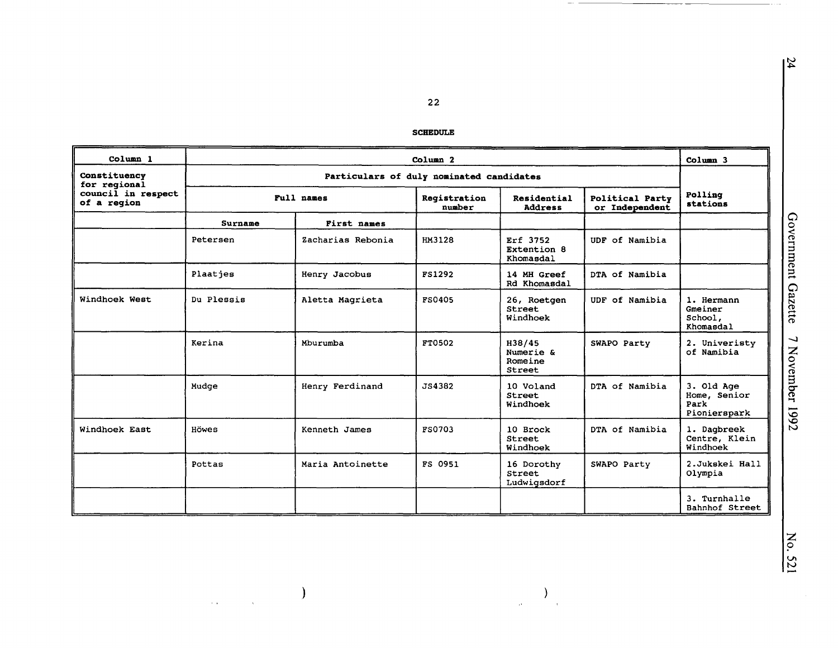#### **SCHEDULE**

| Column 1                          | Column <sub>2</sub>                      |                   |                        |                                          |                | Column 3                                           |  |
|-----------------------------------|------------------------------------------|-------------------|------------------------|------------------------------------------|----------------|----------------------------------------------------|--|
| Constituency<br>for regional      | Particulars of duly nominated candidates |                   |                        |                                          |                |                                                    |  |
| council in respect<br>of a region |                                          | Full names        | Registration<br>number | Residential<br><b>Address</b>            |                | Polling<br>stations                                |  |
|                                   | <b>Surname</b>                           | First names       |                        |                                          |                |                                                    |  |
|                                   | Petersen                                 | Zacharias Rebonia | HM3128                 | Erf 3752<br>Extention 8<br>Khomasdal     | UDF of Namibia |                                                    |  |
|                                   | Plaatjes                                 | Henry Jacobus     | <b>FS1292</b>          | 14 MH Greef<br>Rd Khomasdal              | DTA of Namibia |                                                    |  |
| Windhoek West                     | Du Plessis                               | Aletta Magrieta   | <b>FS0405</b>          | 26, Roetgen<br><b>Street</b><br>Windhoek | UDF of Namibia | 1. Hermann<br>Gmeiner<br>School,<br>Khomasdal      |  |
|                                   | Kerina                                   | Mburumba          | FT0502                 | H38/45<br>Numerie &<br>Romeine<br>Street | SWAPO Party    | 2. Univeristy<br>of Namibia                        |  |
|                                   | Mudge                                    | Henry Ferdinand   | JS4382                 | 10 Voland<br><b>Street</b><br>Windhoek   | DTA of Namibia | 3. Old Age<br>Home, Senior<br>Park<br>Pionierspark |  |
| Windhoek East                     | Howes                                    | Kenneth James     | <b>FS0703</b>          | 10 Brock<br><b>Street</b><br>Windhoek    | DTA of Namibia | 1. Dagbreek<br>Centre, Klein<br>Windhoek           |  |
|                                   | Pottas                                   | Maria Antoinette  | FS 0951                | 16 Dorothy<br>Street<br>Ludwigsdorf      | SWAPO Party    | 2.Jukskei Hall<br>Olympia                          |  |
|                                   |                                          |                   |                        |                                          |                | 3. Turnhalle<br>Bahnhof Street                     |  |

 $\big)$ 

 $\hat{\mathcal{L}}_{\text{max}}$ 

 $\sim$   $\sim$ 

 $\sum_{\alpha\in\mathbb{Z}}$ 

 $\hat{\mathcal{A}}$ 

 $\frac{31}{4}$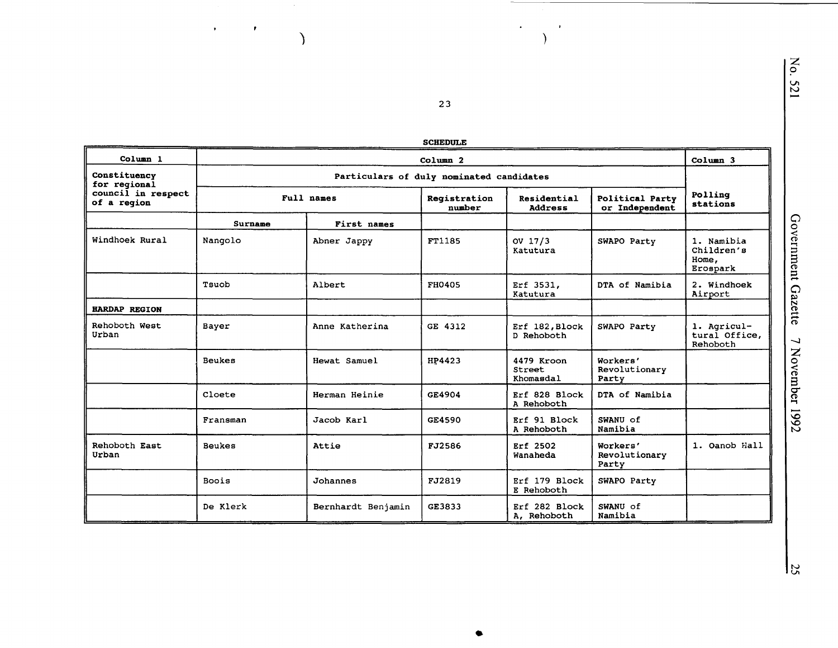| <b>SCHEDULE</b> |  |
|-----------------|--|
|-----------------|--|

 $\overline{23}$ 

 $\rightarrow$ 

 $\lambda$ 

 $\bullet$ 

 $\lambda$ 

 $\lambda$ 

 $\mathcal{A}^{\mathcal{A}}$  and  $\mathcal{A}^{\mathcal{A}}$ 

| Column 1                                                          | Column <sub>2</sub>                      |                    |                        |                                          | Column 3                           |                                               |
|-------------------------------------------------------------------|------------------------------------------|--------------------|------------------------|------------------------------------------|------------------------------------|-----------------------------------------------|
| Constituency<br>for regional<br>council in respect<br>of a region | Particulars of duly nominated candidates |                    |                        |                                          |                                    |                                               |
|                                                                   | Full names                               |                    | Registration<br>number | Residential<br><b>Address</b>            | Political Party<br>or Independent  | Polling<br>stations                           |
|                                                                   | Surname                                  | First names        |                        |                                          |                                    |                                               |
| Windhoek Rural                                                    | Nangolo                                  | Abner Jappy        | FT1185                 | OV $17/3$<br>Katutura                    | SWAPO Party                        | 1. Namibia<br>Children's<br>Home,<br>Erospark |
|                                                                   | Tsuob                                    | Albert             | FH0405                 | Erf 3531,<br>Katutura                    | DTA of Namibia                     | 2. Windhoek<br>Airport                        |
| <b>HARDAP REGION</b>                                              |                                          |                    |                        |                                          |                                    |                                               |
| Rehoboth West<br>Urban                                            | Bayer                                    | Anne Katherina     | GE 4312                | Erf 182, Block<br>D Rehoboth             | SWAPO Party                        | 1. Agricul-<br>tural Office,<br>Rehoboth      |
|                                                                   | <b>Beukes</b>                            | Hewat Samuel       | HP4423                 | 4479 Kroon<br><b>Street</b><br>Khomasdal | Workers'<br>Revolutionary<br>Party |                                               |
|                                                                   | Cloete                                   | Herman Heinie      | GE4904                 | Erf 828 Block<br>A Rehoboth              | DTA of Namibia                     |                                               |
|                                                                   | Fransman                                 | Jacob Karl         | GE4590                 | Erf 91 Block<br>A Rehoboth               | SWANU of<br>Namibia                |                                               |
| Rehoboth East<br>Urban                                            | <b>Beukes</b>                            | Attie              | FJ2586                 | Erf 2502<br>Wanaheda                     | Workers'<br>Revolutionary<br>Party | 1. Oanob Hall                                 |
|                                                                   | Boois                                    | Johannes           | FJ2819                 | Erf 179 Block<br>E Rehoboth              | SWAPO Party                        |                                               |
|                                                                   | De Klerk                                 | Bernhardt Benjamin | GE3833                 | Erf 282 Block<br>A, Rehoboth             | SWANU of<br>Namibia                |                                               |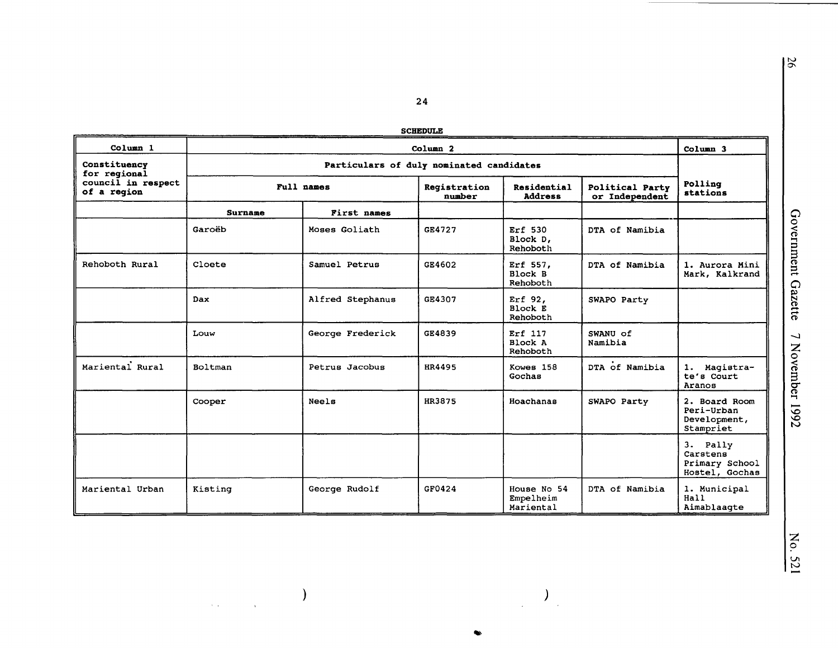**SCHEDULE** 

| Column 1                                                          | Column <sub>2</sub>                      |                  |                        |                                       | Column 3                          |                                                          |
|-------------------------------------------------------------------|------------------------------------------|------------------|------------------------|---------------------------------------|-----------------------------------|----------------------------------------------------------|
| Constituency<br>for regional<br>council in respect<br>of a region | Particulars of duly nominated candidates |                  |                        |                                       |                                   |                                                          |
|                                                                   | Full names                               |                  | Registration<br>number | Residential<br><b>Address</b>         | Political Party<br>or Independent | Polling<br>stations                                      |
|                                                                   | Surname                                  | First names      |                        |                                       |                                   |                                                          |
|                                                                   | Garoëb                                   | Moses Goliath    | GE4727                 | Erf 530<br>Block D,<br>Rehoboth       | DTA of Namibia                    |                                                          |
| Rehoboth Rural                                                    | Cloete                                   | Samuel Petrus    | GE4602                 | Erf 557.<br>Block B<br>Rehoboth       | DTA of Namibia                    | 1. Aurora Mini<br>Mark, Kalkrand                         |
|                                                                   | Dax                                      | Alfred Stephanus | GE4307                 | Erf 92,<br>Block E<br>Rehoboth        | SWAPO Party                       |                                                          |
|                                                                   | Louw                                     | George Frederick | GE4839                 | Erf 117<br>Block A<br>Rehoboth        | SWANU of<br>Namibia               |                                                          |
| Mariental Rural                                                   | Boltman                                  | Petrus Jacobus   | HR4495                 | Kowes 158<br>Gochas                   | DTA of Namibia                    | 1. Magistra-<br>te's Court<br>Aranos                     |
|                                                                   | Cooper                                   | Neels            | HR3875                 | Hoachanas                             | SWAPO Party                       | 2. Board Room<br>Peri-Urban<br>Development,<br>Stampriet |
|                                                                   |                                          |                  |                        |                                       |                                   | 3. Pally<br>Carstens<br>Primary School<br>Hostel, Gochas |
| Mariental Urban                                                   | Kisting                                  | George Rudolf    | GF0424                 | House No 54<br>Empelheim<br>Mariental | DTA of Namibia                    | 1. Municipal<br>Hall<br>Aimablaagte                      |

 $\big)$ 

 $\label{eq:2} \frac{1}{2} \int_{\mathbb{R}^2} \frac{1}{\sqrt{2}} \, \frac{1}{\sqrt{2}} \, \frac{1}{\sqrt{2}} \, \frac{1}{\sqrt{2}} \, \frac{1}{\sqrt{2}} \, \frac{1}{\sqrt{2}} \, \frac{1}{\sqrt{2}} \, \frac{1}{\sqrt{2}} \, \frac{1}{\sqrt{2}} \, \frac{1}{\sqrt{2}} \, \frac{1}{\sqrt{2}} \, \frac{1}{\sqrt{2}} \, \frac{1}{\sqrt{2}} \, \frac{1}{\sqrt{2}} \, \frac{1}{\sqrt{2}} \, \frac{1}{\sqrt{2}} \, \frac$ 

 $\frac{1}{\sqrt{2}}\left( \frac{1}{\sqrt{2}}\right) \left( \frac{1}{\sqrt{2}}\right) \left( \frac{1}{\sqrt{2}}\right) \left( \frac{1}{\sqrt{2}}\right) \left( \frac{1}{\sqrt{2}}\right) \left( \frac{1}{\sqrt{2}}\right) \left( \frac{1}{\sqrt{2}}\right) \left( \frac{1}{\sqrt{2}}\right) \left( \frac{1}{\sqrt{2}}\right) \left( \frac{1}{\sqrt{2}}\right) \left( \frac{1}{\sqrt{2}}\right) \left( \frac{1}{\sqrt{2}}\right) \left( \frac{1}{\sqrt{2}}\right) \left$ 

Government Gazette 7 November 1992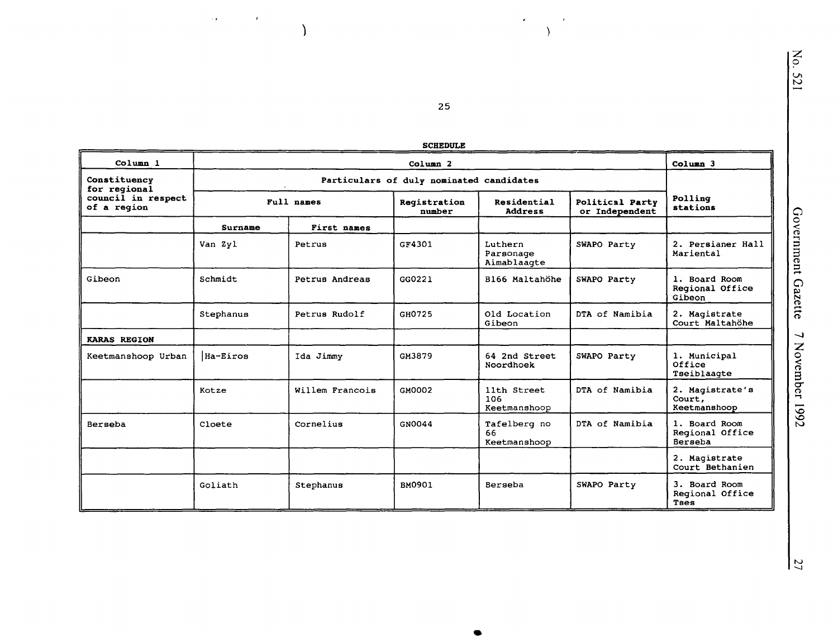| Ĺ<br>r. |
|---------|

| <b>SCHEDULE</b>                                                   |            |                     |                        |                                     |                |                                             |
|-------------------------------------------------------------------|------------|---------------------|------------------------|-------------------------------------|----------------|---------------------------------------------|
| Column 1                                                          |            | Column <sub>3</sub> |                        |                                     |                |                                             |
| Constituency<br>for regional<br>council in respect<br>of a region |            |                     |                        |                                     |                |                                             |
|                                                                   | Full names |                     | Registration<br>number | Residential<br><b>Address</b>       |                | Polling<br>stations                         |
|                                                                   | Surname    | First names         |                        |                                     |                |                                             |
|                                                                   | Van Zyl    | Petrus              | GF4301                 | Luthern<br>Parsonage<br>Aimablaagte | SWAPO Party    | 2. Persianer Hall<br>Mariental              |
| Gibeon                                                            | Schmidt    | Petrus Andreas      | GG0221                 | B166 Maltahöhe                      | SWAPO Party    | 1. Board Room<br>Regional Office<br>Gibeon  |
|                                                                   | Stephanus  | Petrus Rudolf       | GH0725                 | Old Location<br>Gibeon              | DTA of Namibia | 2. Magistrate<br>Court Maltahöhe            |
| <b>KARAS REGION</b>                                               |            |                     |                        |                                     |                |                                             |
| Keetmanshoop Urban                                                | Ha-Eiros   | Ida Jimmy           | GM3879                 | 64 2nd Street<br>Noordhoek          | SWAPO Party    | 1. Municipal<br>Office<br>Tseiblaagte       |
|                                                                   | Kotze      | Willem Francois     | GM0002                 | 11th Street<br>106<br>Keetmanshoop  | DTA of Namibia | 2. Magistrate's<br>Court,<br>Keetmanshoop   |
| Berseba                                                           | Cloete     | Cornelius           | GN0044                 | Tafelberg no<br>66<br>Keetmanshoop  | DTA of Namibia | 1. Board Room<br>Regional Office<br>Berseba |
|                                                                   |            |                     |                        |                                     |                | 2. Magistrate<br>Court Bethanien            |
|                                                                   | Goliath    | Stephanus           | BM0901                 | Berseba                             | SWAPO Party    | 3. Board Room<br>Regional Office<br>Taes    |

 $25\phantom{a}$ 

 $\epsilon$ 

 $\epsilon$ 

 $\lambda$ 

 $\alpha$  .

 $\mathcal{L}^{\text{max}}_{\text{max}}$ 

 $\lambda$ 

 $\frac{2}{2}$